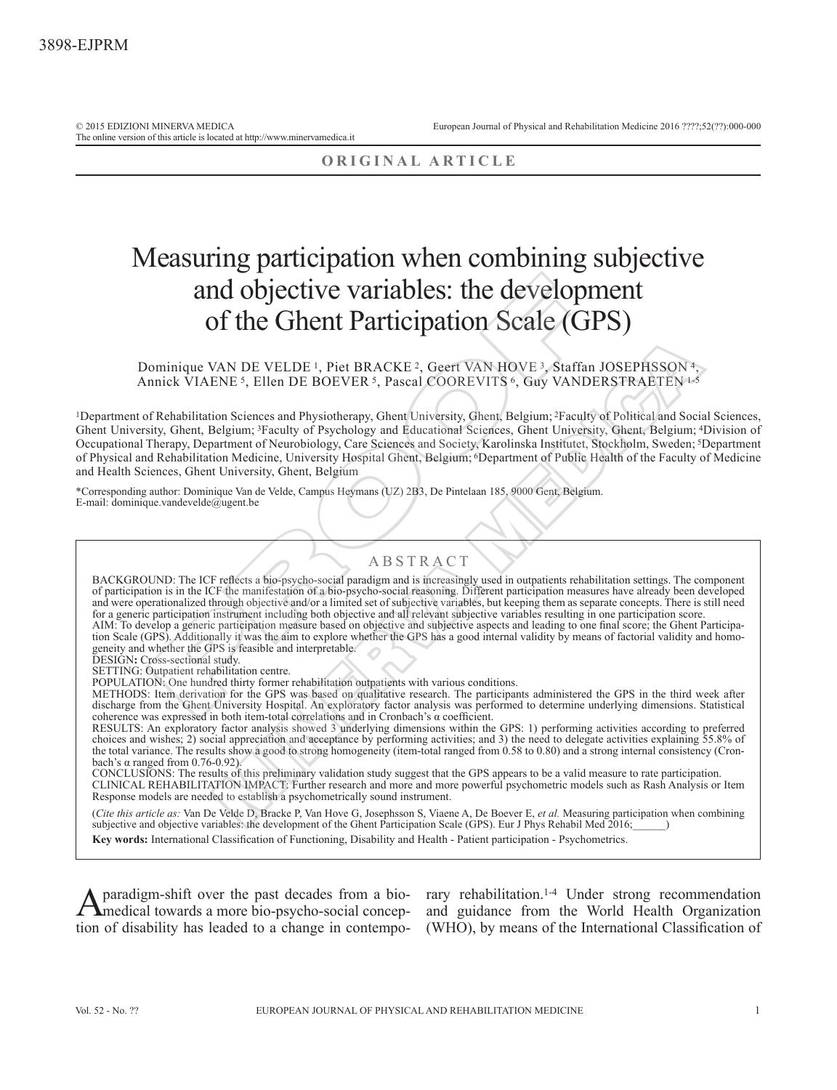The online version of this article is located at http://www.minervamedica.it

## **ORIGINAL ARTICLE**

# Measuring participation when combining subjective and objective variables: the development of the Ghent Participation Scale (GPS )

## Dominique VAN DE VELDE<sup>1</sup>, Piet BRACKE<sup>2</sup>, Geert VAN HOVE<sup>3</sup>, Staffan JOSEPHSSON<sup>4</sup>, Annick VIAENE<sup>5</sup>, Ellen DE BOEVER<sup>5</sup>, Pascal COOREVITS<sup>6</sup>, Guy VANDERSTRAETEN<sup>1-5</sup>

1Department of Rehabilitation Sciences and Physiotherapy, Ghent University, Ghent, Belgium; 2Faculty of Political and Social Sciences, Ghent University, Ghent, Belgium; 3Faculty of Psychology and Educational Sciences, Ghent University, Ghent, Belgium; 4Division of Occupational Therapy, Department of Neurobiology, Care Sciences and Society, Karolinska Institutet, Stockholm, Sweden; 5Department of Physical and Rehabilitation Medicine, University Hospital Ghent, Belgium; 6Department of Public Health of the Faculty of Medicine and Health Sciences, Ghent University, Ghent, Belgium

\*Corresponding author: Dominique Van de Velde, Campus Heymans (UZ) 2B3, De Pintelaan 185, 9000 Gent, Belgium. E-mail: dominique.vandevelde@ugent.be

## ABSTRACT

BACKGROUND: The ICF reflects a bio-psycho-social paradigm and is increasingly used in outpatients rehabilitation settings. The component of participation is in the ICF the manifestation of a bio-psycho-social reasoning. Different participation measures have already been developed and were operationalized through objective and/or a limited set of subjective variables, but keeping them as separate concepts. There is still need for a generic participation instrument including both objective and all relevant subjective variables resulting in one participation score. AIM: To develop a generic participation measure based on objective and subjective aspects and leading to one final score; the Ghent Participation Scale (GPS). Additionally it was the aim to explore whether the GPS has a good internal validity by means of factorial validity and homogeneity and whether the GPS is feasible and interpretable. and objective variables: the developy<br>of the Ghent Participation Scale (G<br>ominique VAN DE VELDE 1, Piet BRACKE<sup>2</sup>, Geert VAN HOVE 2, Staffa<br>minick VIAENE <sup>5</sup>, Ellen DE BOEVER <sup>5</sup>, Pascal COOREVITS <sup>6</sup>, Guy VAND<br>f Rehabili /AN DE VELDE 1, Piet BRACKE 2, Geert VAN HOVE 3, Staffan JOSEPHESSON 4-<br>
NE 5, Ellen DE BOEVER 5, Pascal COOREVITS 6, Guy VANDERSTRAETENTS<br>
ion Sciences and Physiotherapy, Ghent University, Ghent, Belgium; "Faculty of Pol

DESIGN**:** Cross-sectional study.

SETTING: Outpatient rehabilitation centre.

POPULATION: One hundred thirty former rehabilitation outpatients with various conditions.

METHODS: Item derivation for the GPS was based on qualitative research. The participants administered the GPS in the third week after discharge from the Ghent University Hospital. An exploratory factor analysis was performed to determine underlying dimensions. Statistical coherence was expressed in both item-total correlations and in Cronbach's α coefficient.

RESULTS: An exploratory factor analysis showed 3 underlying dimensions within the GPS: 1) performing activities according to preferred choices and wishes; 2) social appreciation and acceptance by performing activities; and 3) the need to delegate activities explaining 55.8% of the total variance. The results show a good to strong homogeneity (item-total ranged from 0.58 to 0.80) and a strong internal consistency (Cronbach's α ranged from 0.76-0.92).

CONCLUSIONS: The results of this preliminary validation study suggest that the GPS appears to be a valid measure to rate participation. CLINICAL REHABILITATION IMPACT: Further research and more and more powerful psychometric models such as Rash Analysis or Item Response models are needed to establish a psychometrically sound instrument.

(*Cite this article as:* Van De Velde D, Bracke P, Van Hove G, Josephsson S, Viaene A, De Boever E, *et al.* Measuring participation when combining subjective and objective variables: the development of the Ghent Participation Scale (GPS). Eur J Phys Rehabil Med 2016; **Key words:** International Classification of Functioning, Disability and Health - Patient participation - Psychometrics.

Aparadigm-shift over the past decades from a bio-<br>
and guidance from the World Health Organization<br>
World Health Organization<br>
Aparameter of the World Health Organization medical towards a more bio-psycho-social concep- and guidance from the World Health Organization tion of disability has leaded to a change in contempo- (WHO), by means of the International Classification of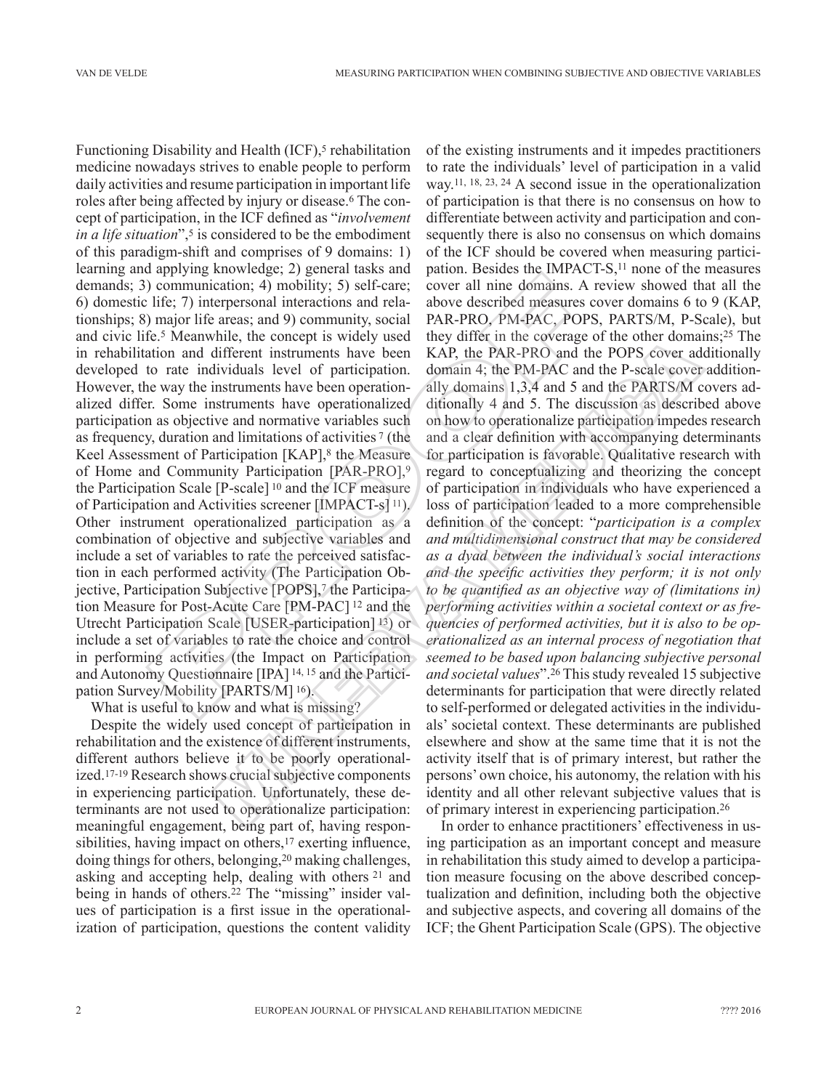Functioning Disability and Health (ICF),<sup>5</sup> rehabilitation medicine nowadays strives to enable people to perform daily activities and resume participation in important life roles after being affected by injury or disease.6 The concept of participation, in the ICF defined as "*involvement in a life situation*",<sup>5</sup> is considered to be the embodiment of this paradigm-shift and comprises of 9 domains: 1) learning and applying knowledge; 2) general tasks and demands; 3) communication; 4) mobility; 5) self-care; 6) domestic life; 7) interpersonal interactions and relationships; 8) major life areas; and 9) community, social and civic life.5 Meanwhile, the concept is widely used in rehabilitation and different instruments have been developed to rate individuals level of participation. However, the way the instruments have been operationalized differ. Some instruments have operationalized participation as objective and normative variables such as frequency, duration and limitations of activities 7 (the Keel Assessment of Participation [KAP],<sup>8</sup> the Measure of Home and Community Participation [PAR-PRO],9 the Participation Scale [P-scale] 10 and the ICF measure of Participation and Activities screener [IMPACT-s] 11). Other instrument operationalized participation as a combination of objective and subjective variables and include a set of variables to rate the perceived satisfaction in each performed activity (The Participation Objective, Participation Subjective [POPS],7 the Participation Measure for Post-Acute Care [PM-PAC] 12 and the Utrecht Participation Scale [USER-participation] 13) or include a set of variables to rate the choice and control in performing activities (the Impact on Participation and Autonomy Questionnaire [IPA] 14, 15 and the Participation Survey/Mobility [PARTS/M] 16). communication; 4) mobility; 5) self-care; cover all nine domains. A life; 7) interpresonal interactions and rela-<br>above described measures and 9) community, social PAR-PRO, PM-PAC, POP<br>e.5 Meanwhile, the concept is widely

What is useful to know and what is missing?

Despite the widely used concept of participation in rehabilitation and the existence of different instruments, different authors believe it to be poorly operationalized.17-19 Research shows crucial subjective components in experiencing participation. Unfortunately, these determinants are not used to operationalize participation: meaningful engagement, being part of, having responsibilities, having impact on others,<sup>17</sup> exerting influence, doing things for others, belonging,20 making challenges, asking and accepting help, dealing with others 21 and being in hands of others.22 The "missing" insider values of participation is a first issue in the operationalization of participation, questions the content validity

of the existing instruments and it impedes practitioners to rate the individuals' level of participation in a valid way.11, 18, 23, 24 A second issue in the operationalization of participation is that there is no consensus on how to differentiate between activity and participation and consequently there is also no consensus on which domains of the ICF should be covered when measuring participation. Besides the IMPACT-S,<sup>11</sup> none of the measures cover all nine domains. A review showed that all the above described measures cover domains 6 to 9 (KAP, PAR-PRO, PM-PAC, POPS, PARTS/M, P-Scale), but they differ in the coverage of the other domains;25 The KAP, the PAR -PRO and the POPS cover additionally domain 4; the PM-PAC and the P-scale cover additionally domains 1,3,4 and 5 and the PARTS/M covers additionally 4 and 5. The discussion as described above on how to operationalize participation impedes research and a clear definition with accompanying determinants for participation is favorable. Qualitative research with regard to conceptualizing and theorizing the concept of participation in individuals who have experienced a loss of participation leaded to a more comprehensible definition of the concept: "*participation is a complex and multidimensional construct that may be considered as a dyad between the individual's social interactions and the specific activities they perform; it is not only to be quantified as an objective way of (limitations in) performing activities within a societal context or as frequencies of performed activities, but it is also to be operationalized as an internal process of negotiation that seemed to be based upon balancing subjective personal and societal values*".26 This study revealed 15 subjective determinants for participation that were directly related to self-performed or delegated activities in the individuals' societal context. These determinants are published elsewhere and show at the same time that it is not the activity itself that is of primary interest, but rather the persons' own choice, his autonomy, the relation with his identity and all other relevant subjective values that is of primary interest in experiencing participation.26 Find construct that more is what in the vivelage of the bind in<br>thifterent instruments have been KAP, the PAR-PRO and the POPS cover ad<br>ividuals level of participation. domain 4; the PAR-PRO and the POPS cover ad<br>ividuals

In order to enhance practitioners' effectiveness in using participation as an important concept and measure in rehabilitation this study aimed to develop a participation measure focusing on the above described conceptualization and definition, including both the objective and subjective aspects, and covering all domains of the ICF; the Ghent Participation Scale (GPS). The objective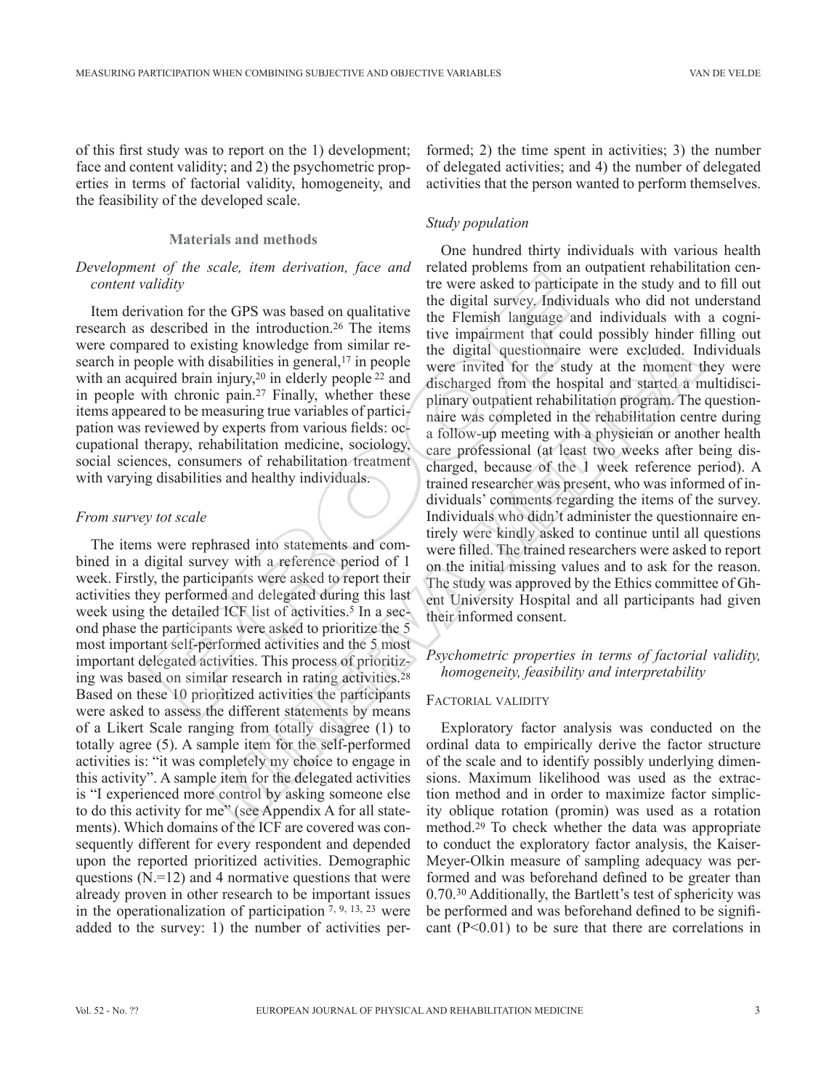of this first study was to report on the 1) development; face and content validity; and 2) the psychometric properties in terms of factorial validity, homogeneity, and the feasibility of the developed scale.

#### **Materials and methods**

## *Development of the scale, item derivation, face and content validity*

Item derivation for the GPS was based on qualitative research as described in the introduction.26 The items were compared to existing knowledge from similar research in people with disabilities in general,<sup>17</sup> in people with an acquired brain injury,<sup>20</sup> in elderly people <sup>22</sup> and in people with chronic pain.27 Finally, whether these items appeared to be measuring true variables of participation was reviewed by experts from various fields: occupational therapy, rehabilitation medicine, sociology, social sciences, consumers of rehabilitation treatment with varying disabilities and healthy individuals.

#### *From survey tot scale*

The items were rephrased into statements and combined in a digital survey with a reference period of 1 week. Firstly, the participants were asked to report their activities they performed and delegated during this last week using the detailed ICF list of activities.<sup>5</sup> In a second phase the participants were asked to prioritize the 5 most important self-performed activities and the 5 most important delegated activities. This process of prioritizing was based on similar research in rating activities.28 Based on these 10 prioritized activities the participants were asked to assess the different statements by means of a Likert Scale ranging from totally disagree (1) to totally agree (5). A sample item for the self-performed activities is: "it was completely my choice to engage in this activity". A sample item for the delegated activities is "I experienced more control by asking someone else to do this activity for me" (see Appendix A for all statements). Which domains of the ICF are covered was consequently different for every respondent and depended upon the reported prioritized activities. Demographic questions  $(N=12)$  and 4 normative questions that were already proven in other research to be important issues in the operationalization of participation  $7, 9, 13, 23$  were added to the survey: 1) the number of activities performed; 2) the time spent in activities; 3) the number of delegated activities; and 4) the number of delegated activities that the person wanted to perform themselves.

## *Study population*

One hundred thirty individuals with various health related problems from an outpatient rehabilitation centre were asked to participate in the study and to fill out the digital survey. Individuals who did not understand the Flemish language and individuals with a cognitive impairment that could possibly hinder filling out the digital questionnaire were excluded. Individuals were invited for the study at the moment they were discharged from the hospital and started a multidisciplinary outpatient rehabilitation program. The questionnaire was completed in the rehabilitation centre during a follow-up meeting with a physician or another health care professional (at least two weeks after being discharged, because of the 1 week reference period). A trained researcher was present, who was informed of individuals' comments regarding the items of the survey. Individuals who didn't administer the questionnaire entirely were kindly asked to continue until all questions were filled. The trained researchers were asked to report on the initial missing values and to ask for the reason. The study was approved by the Ethics committee of Ghent University Hospital and all participants had given their informed consent. *litality* the were asked to participat<br> *ididiv* the digital survey. Individue the strange and<br>
described in the introduction.<sup>26</sup> The items in the digital survey. Individued<br>
red to existing knowledge from similar re-<br> ting knowledge from similar re-<br>
are the digital questionnaire were excluded. It<br>
injury,<sup>20</sup> in elderly propele were invided for the study at the connect<br>
injury,<sup>20</sup> in elderly propele <sup>22</sup> and discharged from the hospi

## *Psychometric properties in terms of factorial validity, homogeneity, feasibility and interpretability*

#### Factorial validity

Exploratory factor analysis was conducted on the ordinal data to empirically derive the factor structure of the scale and to identify possibly underlying dimensions. Maximum likelihood was used as the extraction method and in order to maximize factor simplicity oblique rotation (promin) was used as a rotation method.29 To check whether the data was appropriate to conduct the exploratory factor analysis, the Kaiser-Meyer-Olkin measure of sampling adequacy was performed and was beforehand defined to be greater than 0.70.30 Additionally, the Bartlett's test of sphericity was be performed and was beforehand defined to be significant  $(P<0.01)$  to be sure that there are correlations in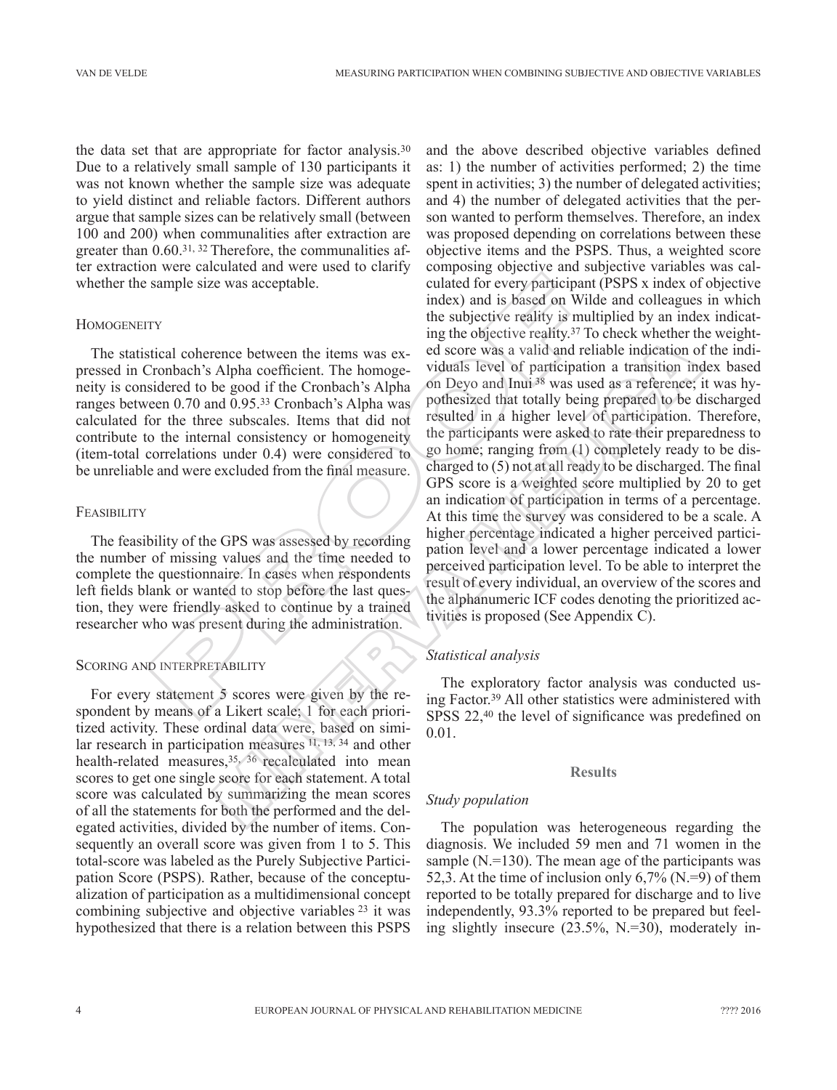the data set that are appropriate for factor analysis.30 Due to a relatively small sample of 130 participants it was not known whether the sample size was adequate to yield distinct and reliable factors. Different authors argue that sample sizes can be relatively small (between 100 and 200) when communalities after extraction are greater than 0.60.31, 32 Therefore, the communalities after extraction were calculated and were used to clarify whether the sample size was acceptable.

#### **HOMOGENEITY**

The statistical coherence between the items was expressed in Cronbach's Alpha coefficient. The homogeneity is considered to be good if the Cronbach's Alpha ranges between 0.70 and 0.95.33 Cronbach's Alpha was calculated for the three subscales. Items that did not contribute to the internal consistency or homogeneity (item-total correlations under 0.4) were considered to be unreliable and were excluded from the final measure.

## **FEASIBILITY**

The feasibility of the GPS was assessed by recording the number of missing values and the time needed to complete the questionnaire. In cases when respondents left fields blank or wanted to stop before the last question, they were friendly asked to continue by a trained researcher who was present during the administration.

## SCORING AND INTERPRETABILITY

For every statement 5 scores were given by the respondent by means of a Likert scale; 1 for each prioritized activity. These ordinal data were, based on similar research in participation measures 11, 13, 34 and other health-related measures,<sup>35, 36</sup> recalculated into mean scores to get one single score for each statement. A total score was calculated by summarizing the mean scores of all the statements for both the performed and the delegated activities, divided by the number of items. Consequently an overall score was given from 1 to 5. This total-score was labeled as the Purely Subjective Participation Score (PSPS). Rather, because of the conceptualization of participation as a multidimensional concept combining subjective and objective variables 23 it was hypothesized that there is a relation between this PSPS

and the above described objective variables defined as: 1) the number of activities performed; 2) the time spent in activities; 3) the number of delegated activities; and 4) the number of delegated activities that the person wanted to perform themselves. Therefore, an index was proposed depending on correlations between these objective items and the PSPS. Thus, a weighted score composing objective and subjective variables was calculated for every participant (PSPS x index of objective index) and is based on Wilde and colleagues in which the subjective reality is multiplied by an index indicating the objective reality.37 To check whether the weighted score was a valid and reliable indication of the individuals level of participation a transition index based on Deyo and Inui 38 was used as a reference; it was hypothesized that totally being prepared to be discharged resulted in a higher level of participation. Therefore, the participants were asked to rate their preparedness to go home; ranging from (1) completely ready to be discharged to (5) not at all ready to be discharged. The final GPS score is a weighted score multiplied by 20 to get an indication of participation in terms of a percentage. At this time the survey was considered to be a scale. A higher percentage indicated a higher perceived participation level and a lower percentage indicated a lower perceived participation level. To be able to interpret the result of every individual, an overview of the scores and the alphanumeric ICF codes denoting the prioritized activities is proposed (See Appendix C). single size was acceptable.<br>
The subjective regivery participant index) and is based on Will the subjective reality is multiple to the subjective reality is The conduction in the homoge-<br>
ing the objective reality is multi ence between the items was ex-<br>
ed score was a valid and reliable indication of<br>
Alpha coefficient. The homoge-viduals level of participation a transition<br>
Alpha coefficient. The homoge-viduals level of participation a tr

## *Statistical analysis*

The exploratory factor analysis was conducted using Factor.39 All other statistics were administered with SPSS 22,40 the level of significance was predefined on 0.01.

## **Results**

# *Study population*

The population was heterogeneous regarding the diagnosis. We included 59 men and 71 women in the sample  $(N=130)$ . The mean age of the participants was 52,3. At the time of inclusion only  $6,7\%$  (N.=9) of them reported to be totally prepared for discharge and to live independently, 93.3% reported to be prepared but feeling slightly insecure (23.5%, N.=30), moderately in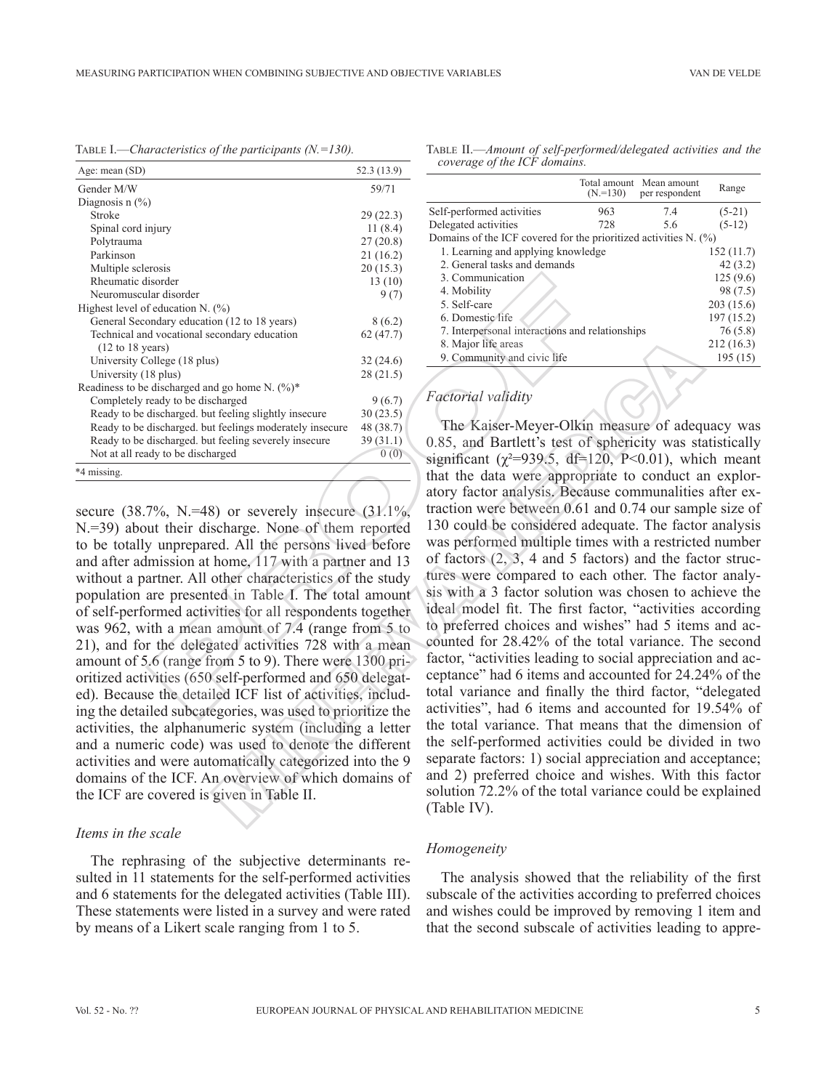MEASURING PARTICIPATION WHEN COMBINING SUBJECTIVE AND OBJECTIVE VARIABLES VAN DE VELDE

Table I.—*Characteristics of the participants (N.=130).*

| Age: mean (SD)                                           | 52.3 (13.9) |
|----------------------------------------------------------|-------------|
| Gender M/W                                               | 59/71       |
| Diagnosis $n$ $\frac{6}{6}$                              |             |
| Stroke                                                   | 29(22.3)    |
| Spinal cord injury                                       | 11 $(8.4)$  |
| Polytrauma                                               | 27(20.8)    |
| Parkinson                                                | 21(16.2)    |
| Multiple sclerosis                                       | 20(15.3)    |
| Rheumatic disorder                                       | 13(10)      |
| Neuromuscular disorder                                   | 9(7)        |
| Highest level of education N. $(\%)$                     |             |
| General Secondary education (12 to 18 years)             | 8(6.2)      |
| Technical and vocational secondary education             | 62(47.7)    |
| $(12 \text{ to } 18 \text{ years})$                      |             |
| University College (18 plus)                             | 32(24.6)    |
| University (18 plus)                                     | 28(21.5)    |
| Readiness to be discharged and go home N. (%)*           |             |
| Completely ready to be discharged                        | 9(6.7)      |
| Ready to be discharged, but feeling slightly insecure    | 30(23.5)    |
| Ready to be discharged, but feelings moderately insecure | 48 (38.7)   |
| Ready to be discharged, but feeling severely insecure    | 39(31.1)    |
| Not at all ready to be discharged                        | 0(0)        |
| *4 missing.                                              |             |
|                                                          |             |

secure  $(38.7\% \text{ N} = 48)$  or severely insecure  $(31.1\% \text{ N} = 48)$ N.=39) about their discharge. None of them reported to be totally unprepared. All the persons lived before and after admission at home, 117 with a partner and 13 without a partner. All other characteristics of the study population are presented in Table I. The total amount of self-performed activities for all respondents together was 962, with a mean amount of 7.4 (range from 5 to 21), and for the delegated activities 728 with a mean amount of 5.6 (range from 5 to 9). There were 1300 prioritized activities (650 self-performed and 650 delegated). Because the detailed ICF list of activities, including the detailed subcategories, was used to prioritize the activities, the alphanumeric system (including a letter and a numeric code) was used to denote the different activities and were automatically categorized into the 9 domains of the ICF. An overview of which domains of the ICF are covered is given in Table II.

#### *Items in the scale*

The rephrasing of the subjective determinants resulted in 11 statements for the self-performed activities and 6 statements for the delegated activities (Table III). These statements were listed in a survey and were rated by means of a Likert scale ranging from 1 to 5.

Table II.—*Amount of self-performed/delegated activities and the coverage of the ICF domains.*

|                                                                  | $(N=130)$ | Total amount Mean amount<br>per respondent | Range      |
|------------------------------------------------------------------|-----------|--------------------------------------------|------------|
| Self-performed activities                                        | 963       | 7.4                                        | $(5-21)$   |
| Delegated activities                                             | 728       | 5.6                                        | $(5-12)$   |
| Domains of the ICF covered for the prioritized activities N. (%) |           |                                            |            |
| 1. Learning and applying knowledge                               |           |                                            | 152(11.7)  |
| 2. General tasks and demands                                     |           |                                            | 42(3.2)    |
| 3. Communication                                                 |           |                                            | 125(9.6)   |
| 4. Mobility                                                      |           |                                            | 98 (7.5)   |
| 5. Self-care                                                     |           |                                            | 203(15.6)  |
| 6. Domestic life                                                 |           |                                            | 197 (15.2) |
| 7. Interpersonal interactions and relationships                  |           |                                            | 76 (5.8)   |
| 8. Major life areas                                              |           |                                            | 212(16.3)  |
| 9. Community and civic life                                      |           |                                            | 195(15)    |
|                                                                  |           |                                            |            |

## *Factorial validity*

The Kaiser-Meyer-Olkin measure of adequacy was 0.85, and Bartlett's test of sphericity was statistically significant ( $\gamma^2$ =939.5, df=120, P<0.01), which meant that the data were appropriate to conduct an exploratory factor analysis. Because communalities after extraction were between 0.61 and 0.74 our sample size of 130 could be considered adequate. The factor analysis was performed multiple times with a restricted number of factors (2, 3, 4 and 5 factors) and the factor structures were compared to each other. The factor analysis with a 3 factor solution was chosen to achieve the ideal model fit. The first factor, "activities according to preferred choices and wishes" had 5 items and accounted for 28.42% of the total variance. The second factor, "activities leading to social appreciation and acceptance" had 6 items and accounted for 24.24% of the total variance and finally the third factor, "delegated activities", had 6 items and accounted for 19.54% of the total variance. That means that the dimension of the self-performed activities could be divided in two separate factors: 1) social appreciation and acceptance; and 2) preferred choice and wishes. With this factor solution 72.2% of the total variance could be explained (Table IV). Similar (1963)<br>
Simple and contain and contained the contained that the second of the detailed left is a Selection<br>
of a Mobility of the second inference of a Selection of  $(2\pi/3)$ <br>
Simple and civilities and civilities a 3. 2016)<br>
(a)  $\frac{32 (24.6)}{28 (21.5)}$ <br>
(a)  $\frac{32 (24.6)}{28 (21.5)}$ <br>
(a)  $\frac{32 (24.6)}{28 (21.5)}$ <br>
(a)  $\frac{32 (24.6)}{28 (21.5)}$ <br>
(b)  $\frac{32 (24.6)}{28 (21.5)}$ <br>
(a)  $\frac{32 (24.6)}{28 (21.5)}$ <br>
(b)  $\frac{32 (24.6)}{28 (21.5)}$ <br>
(c)  $\frac{32 (24.6$ 

#### *Homogeneity*

The analysis showed that the reliability of the first subscale of the activities according to preferred choices and wishes could be improved by removing 1 item and that the second subscale of activities leading to appre-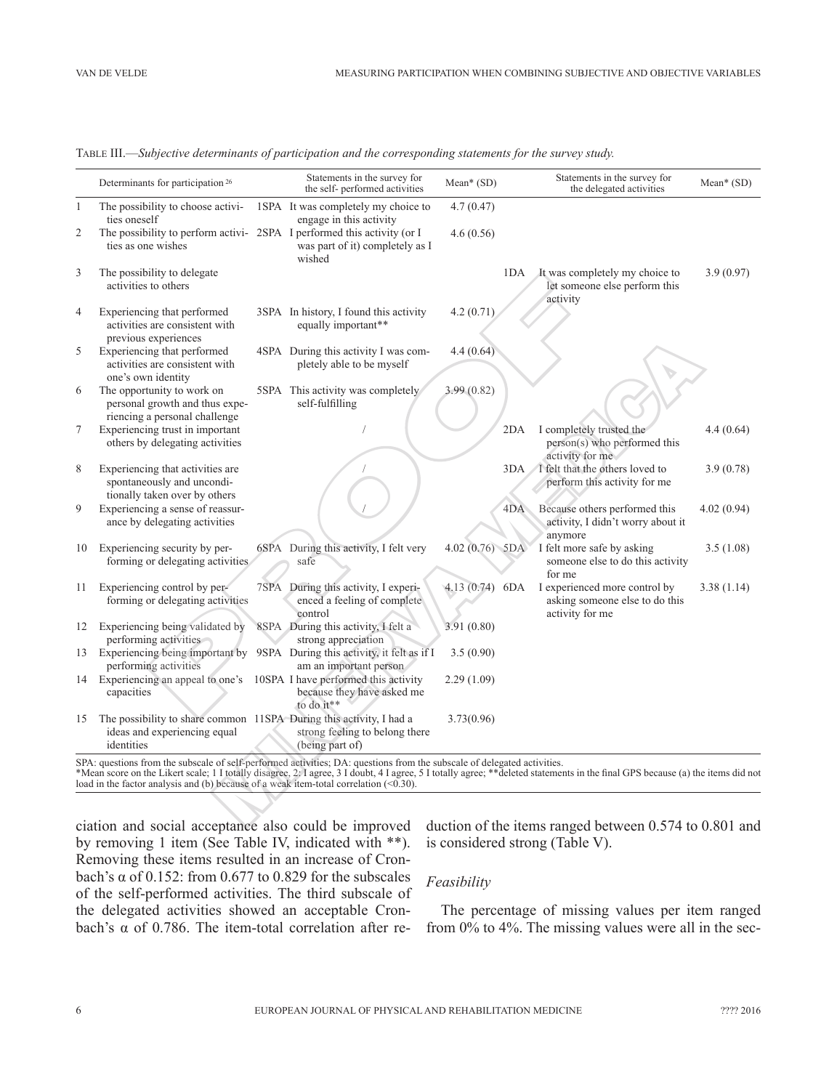| $\mathbf{1}$<br>$\overline{2}$<br>3 | The possibility to choose activi-<br>ties oneself<br>The possibility to perform activi-2SPA I performed this activity (or I<br>ties as one wishes                                                                     | 1SPA It was completely my choice to                                              | 4.7(0.47)        |     |                                                                                                                                                                           |            |
|-------------------------------------|-----------------------------------------------------------------------------------------------------------------------------------------------------------------------------------------------------------------------|----------------------------------------------------------------------------------|------------------|-----|---------------------------------------------------------------------------------------------------------------------------------------------------------------------------|------------|
|                                     |                                                                                                                                                                                                                       | engage in this activity                                                          |                  |     |                                                                                                                                                                           |            |
|                                     |                                                                                                                                                                                                                       | was part of it) completely as I<br>wished                                        | 4.6(0.56)        |     |                                                                                                                                                                           |            |
|                                     | The possibility to delegate<br>activities to others                                                                                                                                                                   |                                                                                  |                  | 1DA | It was completely my choice to<br>let someone else perform this<br>activity                                                                                               | 3.9(0.97)  |
| $\overline{4}$                      | Experiencing that performed<br>activities are consistent with<br>previous experiences                                                                                                                                 | 3SPA In history, I found this activity<br>equally important**                    | 4.2(0.71)        |     |                                                                                                                                                                           |            |
| 5                                   | Experiencing that performed<br>activities are consistent with<br>one's own identity                                                                                                                                   | 4SPA During this activity I was com-<br>pletely able to be myself                | 4.4(0.64)        |     |                                                                                                                                                                           |            |
| 6                                   | The opportunity to work on<br>personal growth and thus expe-<br>riencing a personal challenge                                                                                                                         | 5SPA This activity was completely<br>self-fulfilling                             | 3.99(0.82)       |     |                                                                                                                                                                           |            |
| 7                                   | Experiencing trust in important<br>others by delegating activities                                                                                                                                                    |                                                                                  |                  | 2DA | I completely trusted the<br>person(s) who performed this<br>activity for me                                                                                               | 4.4(0.64)  |
| 8                                   | Experiencing that activities are<br>spontaneously and uncondi-<br>tionally taken over by others                                                                                                                       |                                                                                  |                  | 3DA | I felt that the others loved to<br>perform this activity for me                                                                                                           | 3.9(0.78)  |
| 9                                   | Experiencing a sense of reassur-<br>ance by delegating activities                                                                                                                                                     |                                                                                  |                  | 4DA | Because others performed this<br>activity, I didn't worry about it<br>anymore                                                                                             | 4.02(0.94) |
| 10                                  | Experiencing security by per-<br>forming or delegating activities                                                                                                                                                     | 6SPA During this activity, I felt very<br>safe                                   | $4.02(0.76)$ 5DA |     | I felt more safe by asking<br>someone else to do this activity<br>for me                                                                                                  | 3.5(1.08)  |
| 11                                  | Experiencing control by per-<br>forming or delegating activities                                                                                                                                                      | 7SPA During this activity, I experi-<br>enced a feeling of complete<br>control   | 4.13(0.74)       | 6DA | I experienced more control by<br>asking someone else to do this<br>activity for me                                                                                        | 3.38(1.14) |
| 12                                  | Experiencing being validated by<br>performing activities                                                                                                                                                              | 8SPA During this activity, I felt a<br>strong appreciation                       | 3.91(0.80)       |     |                                                                                                                                                                           |            |
|                                     | 13 Experiencing being important by 9SPA During this activity, it felt as if I<br>performing activities                                                                                                                | am an important person                                                           | 3.5(0.90)        |     |                                                                                                                                                                           |            |
|                                     | 14 Experiencing an appeal to one's<br>capacities                                                                                                                                                                      | 10SPA I have performed this activity<br>because they have asked me<br>to do it** | 2.29(1.09)       |     |                                                                                                                                                                           |            |
| 15                                  | The possibility to share common 11SPA During this activity, I had a<br>ideas and experiencing equal<br>identities                                                                                                     | strong feeling to belong there<br>(being part of)                                | 3.73(0.96)       |     |                                                                                                                                                                           |            |
|                                     | SPA: questions from the subscale of self-performed activities; DA: questions from the subscale of delegated activities.<br>load in the factor analysis and (b) because of a weak item-total correlation $($ $0.30)$ . |                                                                                  |                  |     | *Mean score on the Likert scale; 11 totally disagree, 2.1 agree, 31 doubt, 41 agree, 51 totally agree; **deleted statements in the final GPS because (a) the items did no |            |

Table III.—*Subjective determinants of participation and the corresponding statements for the survey study.*

ciation and social acceptance also could be improved by removing 1 item (See Table IV, indicated with \*\*). Removing these items resulted in an increase of Cronbach's  $\alpha$  of 0.152: from 0.677 to 0.829 for the subscales of the self-performed activities. The third subscale of the delegated activities showed an acceptable Cronbach's α of 0.786. The item-total correlation after reduction of the items ranged between 0.574 to 0.801 and is considered strong (Table V).

## *Feasibility*

The percentage of missing values per item ranged from 0% to 4%. The missing values were all in the sec-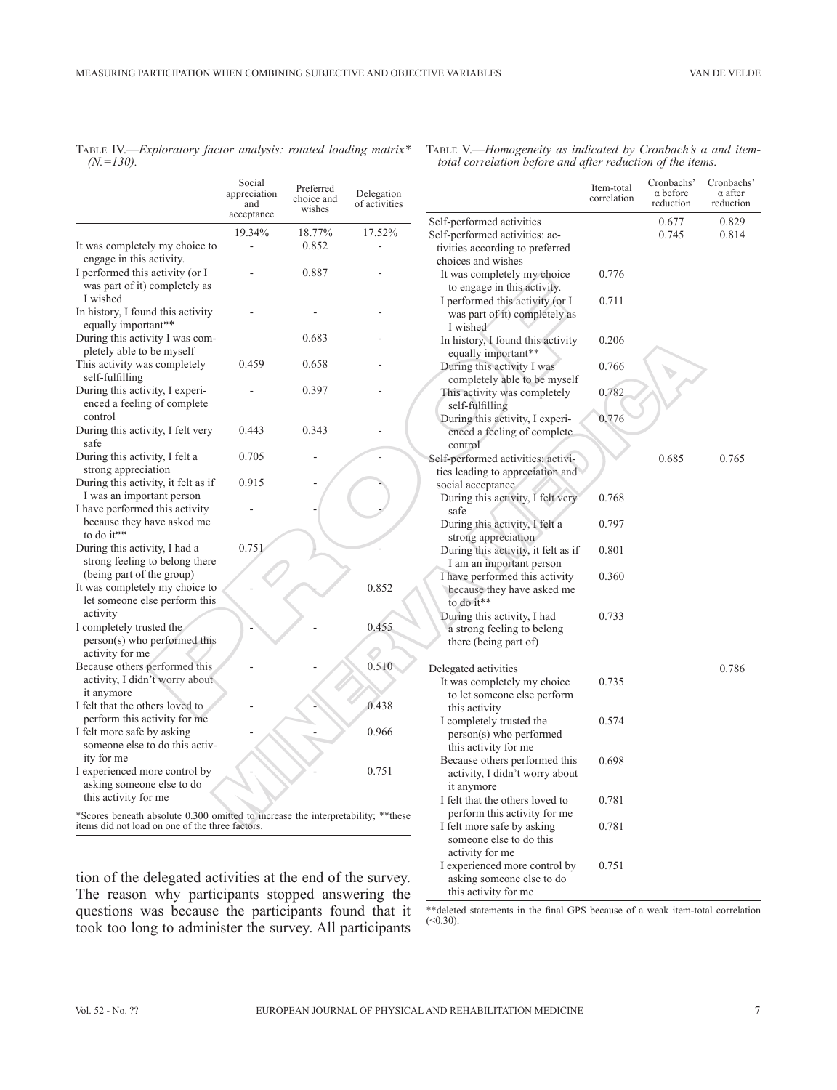|               | TABLE IV.—Exploratory factor analysis: rotated loading matrix* |  |  |  |
|---------------|----------------------------------------------------------------|--|--|--|
| $(N = 130)$ . |                                                                |  |  |  |

|                                                                                                                                      | Social<br>appreciation<br>and<br>acceptance | Preferred<br>choice and<br>wishes | Delegation<br>of activities |                                                                                                                  |
|--------------------------------------------------------------------------------------------------------------------------------------|---------------------------------------------|-----------------------------------|-----------------------------|------------------------------------------------------------------------------------------------------------------|
|                                                                                                                                      | 19.34%                                      | 18.77%                            | 17.52%                      | Self-performed activities                                                                                        |
| It was completely my choice to<br>engage in this activity.                                                                           |                                             | 0.852                             |                             | Self-performed activities: ac-<br>tivities according to preferred<br>choices and wishes                          |
| I performed this activity (or I<br>was part of it) completely as<br>I wished                                                         |                                             | 0.887                             |                             | It was completely my choice<br>to engage in this activity.<br>I performed this activity (or I                    |
| In history, I found this activity<br>equally important**                                                                             |                                             |                                   |                             | was part of it) completely as<br>I wished                                                                        |
| During this activity I was com-<br>pletely able to be myself                                                                         |                                             | 0.683                             |                             | In history, I found this activity<br>equally important**                                                         |
| This activity was completely<br>self-fulfilling                                                                                      | 0.459                                       | 0.658                             |                             | During this activity I was<br>completely able to be myself                                                       |
| During this activity, I experi-<br>enced a feeling of complete<br>control                                                            |                                             | 0.397                             |                             | This activity was completely<br>self-fulfilling<br>During this activity, I experi-                               |
| During this activity, I felt very<br>safe                                                                                            | 0.443                                       | 0.343                             |                             | enced a feeling of complete<br>control                                                                           |
| During this activity, I felt a<br>strong appreciation                                                                                | 0.705                                       |                                   |                             | Self-performed activities: activi-<br>ties leading to appreciation and                                           |
| During this activity, it felt as if<br>I was an important person                                                                     | 0.915                                       |                                   |                             | social acceptance<br>During this activity, I felt very                                                           |
| I have performed this activity<br>because they have asked me<br>to do it**                                                           |                                             |                                   |                             | safe<br>During this activity, I felt a<br>strong appreciation                                                    |
| During this activity, I had a<br>strong feeling to belong there<br>(being part of the group)                                         | 0.751                                       |                                   |                             | During this activity, it felt as if<br>I am an important person                                                  |
| It was completely my choice to<br>let someone else perform this                                                                      |                                             |                                   | 0.852                       | I have performed this activity<br>because they have asked me<br>to do it**                                       |
| activity<br>I completely trusted the<br>person(s) who performed this                                                                 |                                             |                                   | 0.455                       | During this activity, I had<br>a strong feeling to belong<br>there (being part of)                               |
| activity for me                                                                                                                      |                                             |                                   |                             |                                                                                                                  |
| Because others performed this<br>activity, I didn't worry about<br>it anymore                                                        |                                             |                                   | 0.510                       | Delegated activities<br>It was completely my choice                                                              |
| I felt that the others loved to<br>perform this activity for me                                                                      |                                             |                                   | 0.438                       | to let someone else perform<br>this activity<br>I completely trusted the                                         |
| I felt more safe by asking<br>someone else to do this activ-<br>ity for me                                                           |                                             |                                   | 0.966                       | person(s) who performed<br>this activity for me                                                                  |
| I experienced more control by<br>asking someone else to do<br>this activity for me                                                   |                                             |                                   | 0.751                       | Because others performed this<br>activity, I didn't worry about<br>it anymore<br>I felt that the others loved to |
| *Scores beneath absolute 0.300 omitted to increase the interpretability; ** these<br>items did not load on one of the three factors. |                                             |                                   |                             | perform this activity for me<br>I felt more safe by asking                                                       |

tion of the delegated activities at the end of the survey. The reason why participants stopped answering the questions was because the participants found that it took too long to administer the survey. All participants

|              |                               |                                   |                                                    | four correlation before and after reduction of the tiems.              |                           |                                            |                                           |  |
|--------------|-------------------------------|-----------------------------------|----------------------------------------------------|------------------------------------------------------------------------|---------------------------|--------------------------------------------|-------------------------------------------|--|
|              | Social<br>appreciation<br>and | Preferred<br>choice and<br>wishes | Delegation<br>of activities                        |                                                                        | Item-total<br>correlation | Cronbachs'<br>$\alpha$ before<br>reduction | Cronbachs'<br>$\alpha$ after<br>reduction |  |
|              | acceptance                    |                                   |                                                    | Self-performed activities                                              |                           | 0.677                                      | 0.829                                     |  |
|              | 19.34%                        | 18.77%                            | 17.52%                                             | Self-performed activities: ac-                                         |                           | 0.745                                      | 0.814                                     |  |
|              |                               | 0.852                             |                                                    | tivities according to preferred                                        |                           |                                            |                                           |  |
|              |                               |                                   |                                                    | choices and wishes                                                     |                           |                                            |                                           |  |
|              |                               | 0.887                             |                                                    | It was completely my choice                                            | 0.776                     |                                            |                                           |  |
|              |                               |                                   |                                                    | to engage in this activity.                                            |                           |                                            |                                           |  |
|              |                               |                                   |                                                    | I performed this activity (or I                                        | 0.711                     |                                            |                                           |  |
|              |                               |                                   |                                                    | was part of it) completely as<br>I wished                              |                           |                                            |                                           |  |
|              |                               | 0.683                             |                                                    | In history, I found this activity                                      | 0.206                     |                                            |                                           |  |
|              |                               |                                   |                                                    | equally important**                                                    |                           |                                            |                                           |  |
|              | 0.459                         | 0.658                             |                                                    | During this activity I was                                             | 0.766                     |                                            |                                           |  |
|              |                               |                                   |                                                    | completely able to be myself                                           |                           |                                            |                                           |  |
|              |                               | 0.397                             |                                                    | This activity was completely                                           | 0.782                     |                                            |                                           |  |
|              |                               |                                   |                                                    | self-fulfilling                                                        |                           |                                            |                                           |  |
|              |                               |                                   |                                                    | During this activity, I experi-                                        | 0.776                     |                                            |                                           |  |
|              | 0.443                         | 0.343                             |                                                    | enced a feeling of complete                                            |                           |                                            |                                           |  |
|              | 0.705                         |                                   |                                                    | control                                                                |                           | 0.685                                      |                                           |  |
|              |                               |                                   |                                                    | Self-performed activities: activi-<br>ties leading to appreciation and |                           |                                            | 0.765                                     |  |
|              | 0.915                         |                                   |                                                    | social acceptance                                                      |                           |                                            |                                           |  |
|              |                               |                                   |                                                    | During this activity, I felt very                                      | 0.768                     |                                            |                                           |  |
|              |                               |                                   |                                                    | safe                                                                   |                           |                                            |                                           |  |
|              |                               |                                   |                                                    | During this activity, I felt a                                         | 0.797                     |                                            |                                           |  |
|              |                               |                                   |                                                    | strong appreciation                                                    |                           |                                            |                                           |  |
|              | 0.751                         |                                   |                                                    | During this activity, it felt as if                                    | 0.801                     |                                            |                                           |  |
|              |                               |                                   |                                                    | I am an important person                                               |                           |                                            |                                           |  |
| $\mathbf{C}$ |                               |                                   | 0.852                                              | I have performed this activity<br>because they have asked me           | 0.360                     |                                            |                                           |  |
| Ŝ            |                               |                                   |                                                    | to do it**                                                             |                           |                                            |                                           |  |
|              |                               |                                   |                                                    | During this activity, I had                                            | 0.733                     |                                            |                                           |  |
|              |                               |                                   | 0.455                                              | a strong feeling to belong                                             |                           |                                            |                                           |  |
|              |                               |                                   |                                                    | there (being part of)                                                  |                           |                                            |                                           |  |
|              |                               |                                   |                                                    |                                                                        |                           |                                            |                                           |  |
|              |                               |                                   | 0.510                                              | Delegated activities                                                   |                           |                                            | 0.786                                     |  |
|              |                               |                                   |                                                    | It was completely my choice                                            | 0.735                     |                                            |                                           |  |
|              |                               |                                   | 0.438                                              | to let someone else perform<br>this activity                           |                           |                                            |                                           |  |
|              |                               |                                   |                                                    | I completely trusted the                                               | 0.574                     |                                            |                                           |  |
|              |                               |                                   | 0.966                                              | person(s) who performed                                                |                           |                                            |                                           |  |
|              |                               |                                   |                                                    | this activity for me                                                   |                           |                                            |                                           |  |
|              |                               |                                   |                                                    | Because others performed this                                          | 0.698                     |                                            |                                           |  |
|              |                               |                                   | 0.751                                              | activity, I didn't worry about                                         |                           |                                            |                                           |  |
|              |                               |                                   |                                                    | it anymore                                                             |                           |                                            |                                           |  |
|              |                               |                                   |                                                    | I felt that the others loved to                                        | 0.781                     |                                            |                                           |  |
|              | hree factors.                 |                                   | omitted to increase the interpretability; ** these | perform this activity for me<br>I felt more safe by asking             | 0.781                     |                                            |                                           |  |
|              |                               |                                   |                                                    | someone else to do this                                                |                           |                                            |                                           |  |
|              |                               |                                   |                                                    | activity for me                                                        |                           |                                            |                                           |  |
|              |                               |                                   |                                                    | I experienced more control by                                          | 0.751                     |                                            |                                           |  |
|              |                               |                                   | ctivities at the end of the survey.                | asking someone else to do                                              |                           |                                            |                                           |  |
|              |                               |                                   | icipants stopped answering the                     | this activity for me                                                   |                           |                                            |                                           |  |
|              |                               |                                   |                                                    |                                                                        |                           |                                            |                                           |  |

\*\*deleted statements in the final GPS because of a weak item-total correlation (<0.30).

Table V.—*Homogeneity as indicated by Cronbach's α and itemtotal correlation before and after reduction of the items.*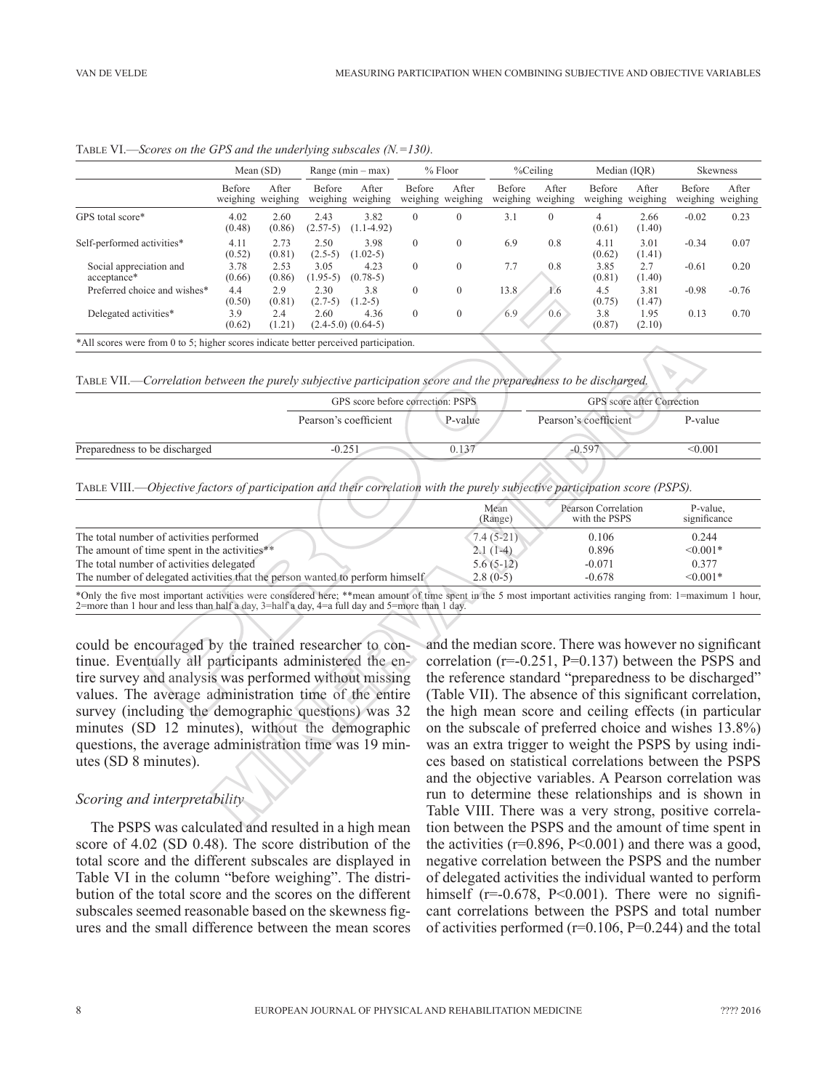|                                                                                      | Mean (SD)          |                   | Range $(min - max)$ |                                | $%$ Floor          |                   | %Ceiling           |                   | Median (IOR)       |                   | <b>Skewness</b>    |                   |
|--------------------------------------------------------------------------------------|--------------------|-------------------|---------------------|--------------------------------|--------------------|-------------------|--------------------|-------------------|--------------------|-------------------|--------------------|-------------------|
|                                                                                      | Before<br>weighing | After<br>weighing | Before<br>weighing  | After<br>weighing              | Before<br>weighing | After<br>weighing | Before<br>weighing | After<br>weighing | Before<br>weighing | After<br>weighing | Before<br>weighing | After<br>weighing |
| GPS total score*                                                                     | 4.02<br>(0.48)     | 2.60<br>(0.86)    | 2.43<br>$(2.57-5)$  | 3.82<br>$(1.1-4.92)$           | $\Omega$           | $\theta$          | 3.1                | $\Omega$          | 4<br>(0.61)        | 2.66<br>(1.40)    | $-0.02$            | 0.23              |
| Self-performed activities*                                                           | 4.11<br>(0.52)     | 2.73<br>(0.81)    | 2.50<br>$(2.5-5)$   | 3.98<br>$(1.02-5)$             | $\Omega$           | $\theta$          | 6.9                | 0.8               | 4.11<br>(0.62)     | 3.01<br>(1.41)    | $-0.34$            | 0.07              |
| Social appreciation and<br>acceptance*                                               | 3.78<br>(0.66)     | 2.53<br>(0.86)    | 3.05<br>$(1.95-5)$  | 4.23<br>$(0.78-5)$             | $\theta$           | $\theta$          | 7.7                | 0.8               | 3.85<br>(0.81)     | 2.7<br>(1.40)     | $-0.61$            | 0.20              |
| Preferred choice and wishes*                                                         | 4.4<br>(0.50)      | 2.9<br>(0.81)     | 2.30<br>$(2.7-5)$   | 3.8<br>$(1.2-5)$               | $\theta$           | $\Omega$          | 13.8               | 1.6               | 4.5<br>(0.75)      | 3.81<br>(1.47)    | $-0.98$            | $-0.76$           |
| Delegated activities*                                                                | 3.9<br>(0.62)      | 2.4<br>(1.21)     | 2.60                | 4.36<br>$(2.4-5.0)$ $(0.64-5)$ | $\Omega$           | $\theta$          | 6.9                | 0.6               | 3.8<br>(0.87)      | 1.95<br>(2.10)    | 0.13               | 0.70              |
| *All scores were from 0 to 5; higher scores indicate better perceived participation. |                    |                   |                     |                                |                    |                   |                    |                   |                    | <b>Allen</b>      |                    |                   |

Table VI.—*Scores on the GPS and the underlying subscales (N.=130).*

Table VII.—*Correlation between the purely subjective participation score and the preparedness to be discharged.*

|                               | GPS score before correction: PSPS |         |                       | GPS score after Correction |  |  |
|-------------------------------|-----------------------------------|---------|-----------------------|----------------------------|--|--|
|                               | Pearson's coefficient             | P-value | Pearson's coefficient | P-value                    |  |  |
| Preparedness to be discharged | $-0.251$                          | 0.137   | $-0.597$              | < 0.001                    |  |  |
|                               |                                   |         |                       |                            |  |  |

Table VIII.—*Objective factors of participation and their correlation with the purely subjective participation score (PSPS).*

| acceptance*                                                                                                                                                  | (0.66) | (0.86) |           | $(1.95-5)$ $(0.78-5)$             |          |              |                                                            | (0.81)                | (1.40)                     |              |         |
|--------------------------------------------------------------------------------------------------------------------------------------------------------------|--------|--------|-----------|-----------------------------------|----------|--------------|------------------------------------------------------------|-----------------------|----------------------------|--------------|---------|
| Preferred choice and wishes*                                                                                                                                 | 4.4    | 2.9    | 2.30      | 3.8                               | $\Omega$ | $\Omega$     | 13.8<br>1.6                                                | 4.5                   | 3.81                       | $-0.98$      | $-0.76$ |
|                                                                                                                                                              | (0.50) | (0.81) | $(2.7-5)$ | $(1.2-5)$                         |          |              |                                                            | (0.75)                | (1.47)                     |              |         |
| Delegated activities*                                                                                                                                        | 3.9    | 2.4    | 2.60      | 4.36                              | $\Omega$ | $\mathbf{0}$ | 6.9<br>0.6                                                 | 3.8                   | 1.95                       | 0.13         | 0.70    |
|                                                                                                                                                              | (0.62) | (1.21) |           | $(2.4-5.0)$ $(0.64-5)$            |          |              |                                                            | (0.87)                | (2.10)                     |              |         |
| *All scores were from 0 to 5; higher scores indicate better perceived participation.                                                                         |        |        |           |                                   |          |              |                                                            |                       |                            |              |         |
|                                                                                                                                                              |        |        |           |                                   |          |              |                                                            |                       |                            |              |         |
| TABLE VII.—Correlation between the purely subjective participation score and the preparedness to be discharged.                                              |        |        |           |                                   |          |              |                                                            |                       |                            |              |         |
|                                                                                                                                                              |        |        |           |                                   |          |              |                                                            |                       |                            |              |         |
|                                                                                                                                                              |        |        |           | GPS score before correction: PSPS |          |              |                                                            |                       | GPS score after Correction |              |         |
|                                                                                                                                                              |        |        |           | Pearson's coefficient             |          | P-value      |                                                            | Pearson's coefficient |                            | P-value      |         |
|                                                                                                                                                              |        |        |           |                                   |          |              |                                                            |                       |                            |              |         |
| Preparedness to be discharged                                                                                                                                |        |        | $-0.251$  |                                   |          | 0.137        |                                                            | $-0.597$              |                            | < 0.001      |         |
|                                                                                                                                                              |        |        |           |                                   |          |              |                                                            |                       |                            |              |         |
|                                                                                                                                                              |        |        |           |                                   |          |              |                                                            |                       |                            |              |         |
| TABLE VIII.—Objective factors of participation and their correlation with the purely subjective participation score (PSPS).                                  |        |        |           |                                   |          |              |                                                            |                       |                            |              |         |
|                                                                                                                                                              |        |        |           |                                   |          |              | Mean                                                       | Pearson Correlation   |                            | P-value.     |         |
|                                                                                                                                                              |        |        |           |                                   |          |              | (Range)                                                    | with the PSPS         |                            | significance |         |
| The total number of activities performed                                                                                                                     |        |        |           |                                   |          |              | $7.4(5-21)$                                                | 0.106                 |                            | 0.244        |         |
| The amount of time spent in the activities**                                                                                                                 |        |        |           |                                   |          |              | $2.1(1-4)$                                                 | 0.896                 |                            | $< 0.001*$   |         |
| The total number of activities delegated                                                                                                                     |        |        |           |                                   |          |              | $5.6(5-12)$                                                | $-0.071$              |                            | 0.377        |         |
| The number of delegated activities that the person wanted to perform himself                                                                                 |        |        |           |                                   |          |              | $2.8(0-5)$                                                 | $-0.678$              |                            | $< 0.001*$   |         |
| *Only the five most important activities were considered here; **mean amount of time spent in the 5 most important activities ranging from: 1=maximum 1 hour |        |        |           |                                   |          |              |                                                            |                       |                            |              |         |
| 2=more than 1 hour and less than half a day, $3$ =half a day, $4$ =a full day and $5$ =more than 1 day.                                                      |        |        |           |                                   |          |              |                                                            |                       |                            |              |         |
|                                                                                                                                                              |        |        |           |                                   |          |              |                                                            |                       |                            |              |         |
|                                                                                                                                                              |        |        |           |                                   |          |              |                                                            |                       |                            |              |         |
| could be encouraged by the trained researcher to con-                                                                                                        |        |        |           |                                   |          |              | and the median score. There was however no significant     |                       |                            |              |         |
| tinue. Eventually all participants administered the en-                                                                                                      |        |        |           |                                   |          |              | correlation ( $r=0.251$ , $P=0.137$ ) between the PSPS and |                       |                            |              |         |
| tire survey and analysis was performed without missing                                                                                                       |        |        |           |                                   |          |              | the reference standard "preparedness to be discharged"     |                       |                            |              |         |
| values. The average administration time of the entire                                                                                                        |        |        |           |                                   |          |              | (Table VII). The absence of this significant correlation.  |                       |                            |              |         |
|                                                                                                                                                              |        |        |           |                                   |          |              |                                                            |                       |                            |              |         |
| survey (including the demographic questions) was 32                                                                                                          |        |        |           |                                   |          |              | the high mean score and ceiling effects (in particular     |                       |                            |              |         |

could be encouraged by the trained researcher to continue. Eventually all participants administered the entire survey and analysis was performed without missing values. The average administration time of the entire survey (including the demographic questions) was 32 minutes (SD 12 minutes), without the demographic questions, the average administration time was 19 minutes (SD 8 minutes).

#### *Scoring and interpretability*

The PSPS was calculated and resulted in a high mean score of 4.02 (SD 0.48). The score distribution of the total score and the different subscales are displayed in Table VI in the column "before weighing". The distribution of the total score and the scores on the different subscales seemed reasonable based on the skewness figures and the small difference between the mean scores

and the median score. There was however no significant correlation (r=-0.251, P=0.137) between the PSPS and the reference standard "preparedness to be discharged" (Table VII). The absence of this significant correlation, the high mean score and ceiling effects (in particular on the subscale of preferred choice and wishes 13.8%) was an extra trigger to weight the PSPS by using indices based on statistical correlations between the PSPS and the objective variables. A Pearson correlation was run to determine these relationships and is shown in Table VIII. There was a very strong, positive correlation between the PSPS and the amount of time spent in the activities ( $r=0.896$ ,  $P<0.001$ ) and there was a good, negative correlation between the PSPS and the number of delegated activities the individual wanted to perform himself ( $r=0.678$ ,  $P<0.001$ ). There were no significant correlations between the PSPS and total number of activities performed ( $r=0.106$ ,  $P=0.244$ ) and the total Experience the purely subjective participation<br>
Experience the purely subjective participation score and the preparedness to be discharged.<br>
The score in the presence of the correction<br>
The score after Correction<br>
The scor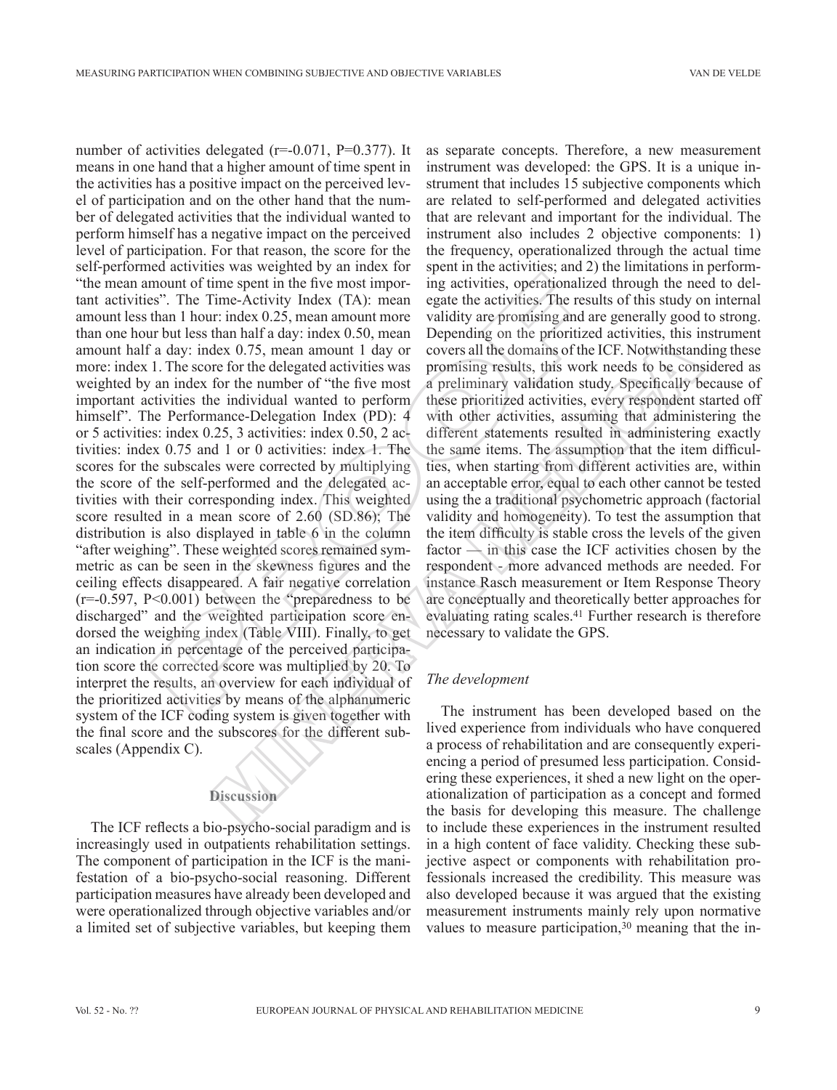number of activities delegated (r=-0.071, P=0.377). It means in one hand that a higher amount of time spent in the activities has a positive impact on the perceived level of participation and on the other hand that the number of delegated activities that the individual wanted to perform himself has a negative impact on the perceived level of participation. For that reason, the score for the self-performed activities was weighted by an index for "the mean amount of time spent in the five most important activities". The Time-Activity Index (TA): mean amount less than 1 hour: index 0.25, mean amount more than one hour but less than half a day: index 0.50, mean amount half a day: index 0.75, mean amount 1 day or more: index 1. The score for the delegated activities was weighted by an index for the number of "the five most important activities the individual wanted to perform himself". The Performance-Delegation Index (PD): 4 or 5 activities: index 0.25, 3 activities: index 0.50, 2 activities: index 0.75 and 1 or 0 activities: index 1. The scores for the subscales were corrected by multiplying the score of the self-performed and the delegated activities with their corresponding index. This weighted score resulted in a mean score of 2.60 (SD.86); The distribution is also displayed in table 6 in the column "after weighing". These weighted scores remained symmetric as can be seen in the skewness figures and the ceiling effects disappeared. A fair negative correlation  $(r=-0.597, P<0.001)$  between the "preparedness to be discharged" and the weighted participation score endorsed the weighing index (Table VIII). Finally, to get an indication in percentage of the perceived participation score the corrected score was multiplied by 20. To interpret the results, an overview for each individual of the prioritized activities by means of the alphanumeric system of the ICF coding system is given together with the final score and the subscores for the different subscales (Appendix C). mount of time spent in the five most impor-<br>singetivities, operationalizes?". The Time-Activity Index (TA): mean egate the activities. The results than 1 hour: index 0.25, mean amount more validity are promising and are t Lex 0.75, mean amount 1 day or covers all the domains of the ICF. Notwithstand<br>
Lex 0.75, mean amount 1 day or covers all the domains of the ICF. Notwithstand<br>
for the delegated activities was promising results, this work

## **Discussion**

The ICF reflects a bio-psycho-social paradigm and is increasingly used in outpatients rehabilitation settings. The component of participation in the ICF is the manifestation of a bio-psycho-social reasoning. Different participation measures have already been developed and were operationalized through objective variables and/or a limited set of subjective variables, but keeping them

as separate concepts. Therefore, a new measurement instrument was developed: the GPS. It is a unique instrument that includes 15 subjective components which are related to self-performed and delegated activities that are relevant and important for the individual. The instrument also includes 2 objective components: 1) the frequency, operationalized through the actual time spent in the activities; and 2) the limitations in performing activities, operationalized through the need to delegate the activities. The results of this study on internal validity are promising and are generally good to strong. Depending on the prioritized activities, this instrument covers all the domains of the ICF. Notwithstanding these promising results, this work needs to be considered as a preliminary validation study. Specifically because of these prioritized activities, every respondent started off with other activities, assuming that administering the different statements resulted in administering exactly the same items. The assumption that the item difficulties, when starting from different activities are, within an acceptable error, equal to each other cannot be tested using the a traditional psychometric approach (factorial validity and homogeneity). To test the assumption that the item difficulty is stable cross the levels of the given factor — in this case the ICF activities chosen by the respondent - more advanced methods are needed. For instance Rasch measurement or Item Response Theory are conceptually and theoretically better approaches for evaluating rating scales.41 Further research is therefore necessary to validate the GPS.

#### *The development*

The instrument has been developed based on the lived experience from individuals who have conquered a process of rehabilitation and are consequently experiencing a period of presumed less participation. Considering these experiences, it shed a new light on the operationalization of participation as a concept and formed the basis for developing this measure. The challenge to include these experiences in the instrument resulted in a high content of face validity. Checking these subjective aspect or components with rehabilitation professionals increased the credibility. This measure was also developed because it was argued that the existing measurement instruments mainly rely upon normative values to measure participation,<sup>30</sup> meaning that the in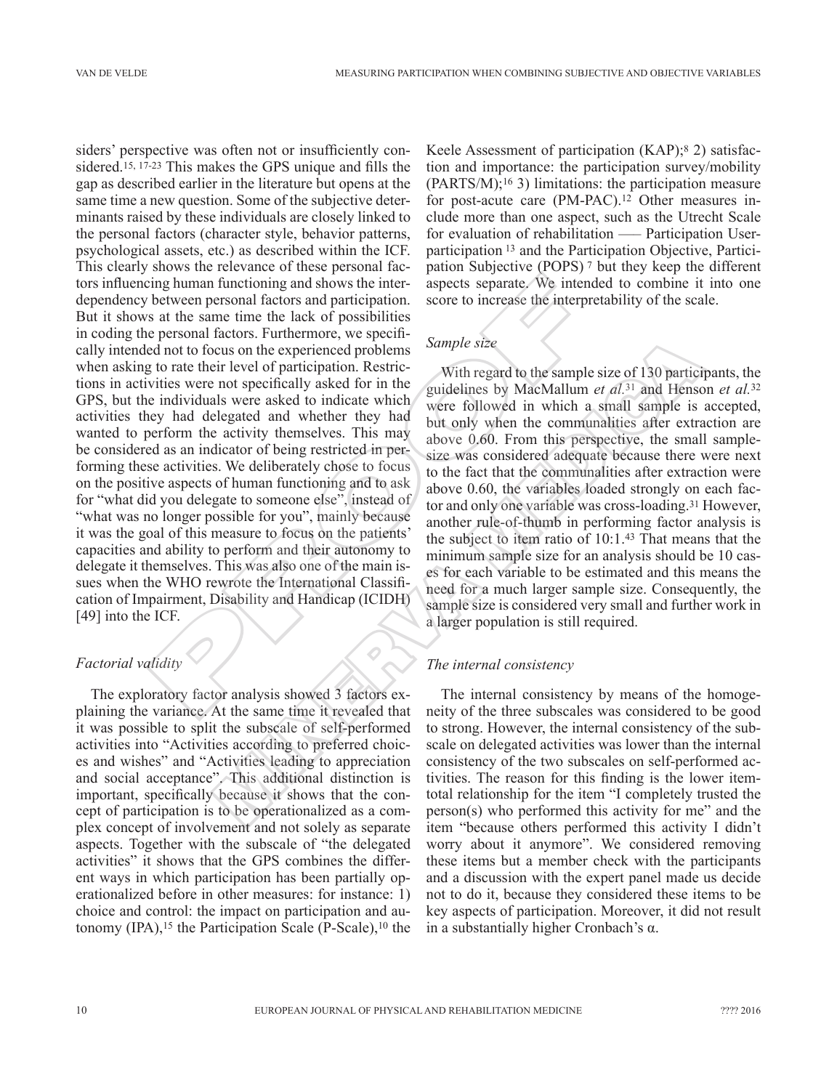siders' perspective was often not or insufficiently considered.15, 17-23 This makes the GPS unique and fills the gap as described earlier in the literature but opens at the same time a new question. Some of the subjective determinants raised by these individuals are closely linked to the personal factors (character style, behavior patterns, psychological assets, etc.) as described within the ICF. This clearly shows the relevance of these personal factors influencing human functioning and shows the interdependency between personal factors and participation. But it shows at the same time the lack of possibilities in coding the personal factors. Furthermore, we specifically intended not to focus on the experienced problems when asking to rate their level of participation. Restrictions in activities were not specifically asked for in the GPS, but the individuals were asked to indicate which activities they had delegated and whether they had wanted to perform the activity themselves. This may be considered as an indicator of being restricted in performing these activities. We deliberately chose to focus on the positive aspects of human functioning and to ask for "what did you delegate to someone else", instead of "what was no longer possible for you", mainly because it was the goal of this measure to focus on the patients' capacities and ability to perform and their autonomy to delegate it themselves. This was also one of the main issues when the WHO rewrote the International Classification of Impairment, Disability and Handicap (ICIDH) [49] into the ICF. ing human functioning and shows the inter-<br>sapects separate. We intend between personal factors and participation. score to increase the interpret<br>state the same time heale of possibilities<br>personal factors. Furthermore,

# *Factorial validity*

The exploratory factor analysis showed 3 factors explaining the variance. At the same time it revealed that it was possible to split the subscale of self-performed activities into "Activities according to preferred choices and wishes" and "Activities leading to appreciation and social acceptance". This additional distinction is important, specifically because it shows that the concept of participation is to be operationalized as a complex concept of involvement and not solely as separate aspects. Together with the subscale of "the delegated activities" it shows that the GPS combines the different ways in which participation has been partially operationalized before in other measures: for instance: 1) choice and control: the impact on participation and autonomy  $(IPA)$ ,<sup>15</sup> the Participation Scale  $(P-Scale)$ ,<sup>10</sup> the Keele Assessment of participation (KAP);8 2) satisfaction and importance: the participation survey/mobility (PARTS/M);16 3) limitations: the participation measure for post-acute care (PM-PAC).<sup>12</sup> Other measures include more than one aspect, such as the Utrecht Scale for evaluation of rehabilitation —– Participation Userparticipation 13 and the Participation Objective, Participation Subjective (POPS) 7 but they keep the different aspects separate. We intended to combine it into one score to increase the interpretability of the scale.

## *Sample size*

With regard to the sample size of 130 participants, the guidelines by MacMallum *et al.*31 and Henson *et al.*<sup>32</sup> were followed in which a small sample is accepted, but only when the communalities after extraction are above 0.60. From this perspective, the small samplesize was considered adequate because there were next to the fact that the communalities after extraction were above 0.60, the variables loaded strongly on each factor and only one variable was cross-loading.31 However, another rule-of-thumb in performing factor analysis is the subject to item ratio of 10:1.43 That means that the minimum sample size for an analysis should be 10 cases for each variable to be estimated and this means the need for a much larger sample size. Consequently, the sample size is considered very small and further work in a larger population is still required. Example size<br>cus on the experienced problems<br>cus on the experienced problems<br>of the sample size of 130 particle<br>in the specificality and of the guidelines by MacMallum er al.<sup>31</sup> and Hens<br>is not specifically asked for in

## *The internal consistency*

The internal consistency by means of the homogeneity of the three subscales was considered to be good to strong. However, the internal consistency of the subscale on delegated activities was lower than the internal consistency of the two subscales on self-performed activities. The reason for this finding is the lower itemtotal relationship for the item "I completely trusted the person(s) who performed this activity for me" and the item "because others performed this activity I didn't worry about it anymore". We considered removing these items but a member check with the participants and a discussion with the expert panel made us decide not to do it, because they considered these items to be key aspects of participation. Moreover, it did not result in a substantially higher Cronbach's α.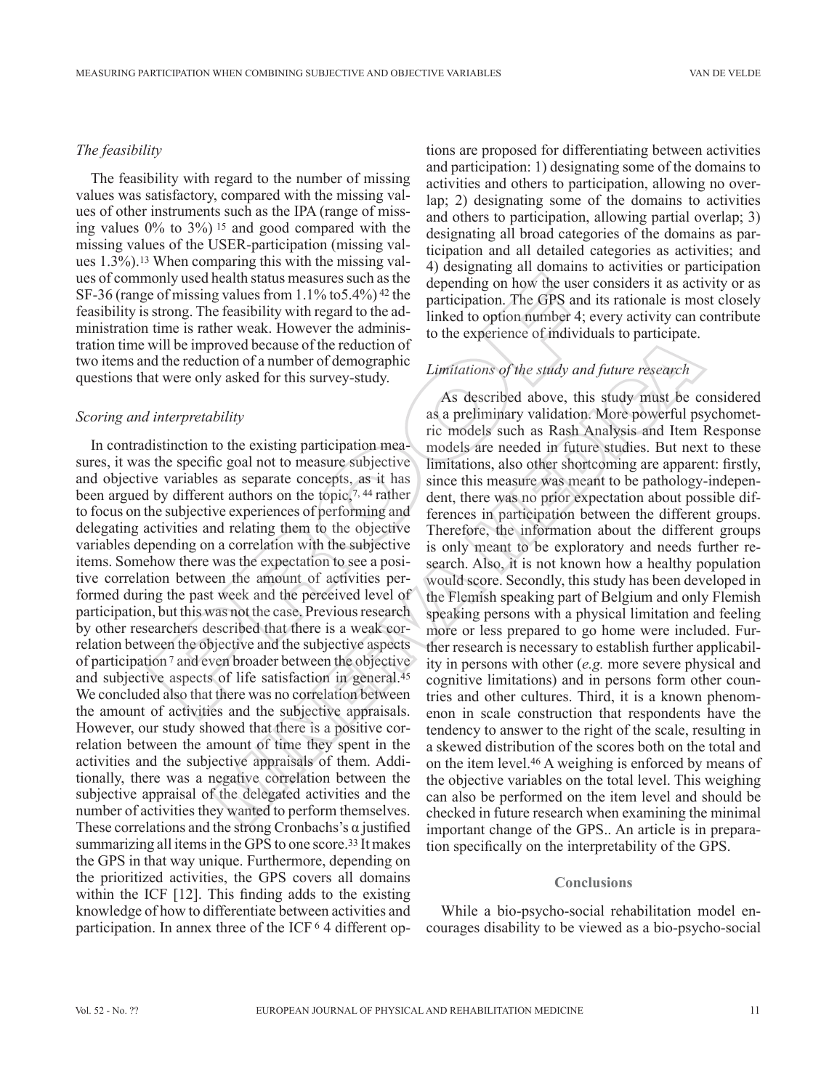#### *The feasibility*

The feasibility with regard to the number of missing values was satisfactory, compared with the missing values of other instruments such as the IPA (range of missing values 0% to 3%) 15 and good compared with the missing values of the USER-participation (missing values 1.3%).13 When comparing this with the missing values of commonly used health status measures such as the SF -36 (range of missing values from 1.1% to5.4%) 42 the feasibility is strong. The feasibility with regard to the administration time is rather weak. However the administration time will be improved because of the reduction of two items and the reduction of a number of demographic questions that were only asked for this survey-study.

#### *Scoring and interpretability*

In contradistinction to the existing participation measures, it was the specific goal not to measure subjective and objective variables as separate concepts, as it has been argued by different authors on the topic,7, 44 rather to focus on the subjective experiences of performing and delegating activities and relating them to the objective variables depending on a correlation with the subjective items. Somehow there was the expectation to see a positive correlation between the amount of activities performed during the past week and the perceived level of participation, but this was not the case. Previous research by other researchers described that there is a weak correlation between the objective and the subjective aspects of participation 7 and even broader between the objective and subjective aspects of life satisfaction in general.45 We concluded also that there was no correlation between the amount of activities and the subjective appraisals. However, our study showed that there is a positive correlation between the amount of time they spent in the activities and the subjective appraisals of them. Additionally, there was a negative correlation between the subjective appraisal of the delegated activities and the number of activities they wanted to perform themselves. These correlations and the strong Cronbachs's  $\alpha$  justified summarizing all items in the GPS to one score.33 It makes the GPS in that way unique. Furthermore, depending on the prioritized activities, the GPS covers all domains within the ICF [12]. This finding adds to the existing knowledge of how to differentiate between activities and participation. In annex three of the ICF 6 4 different opion) used health status measures such as the depending on how the user<br>of missing values from 1.1% to5.4%)<sup>21</sup> the depending on how the user<br>strong. The feasibility with regard to the ad-<br>inked to option number 4;<br>time is

tions are proposed for differentiating between activities and participation: 1) designating some of the domains to activities and others to participation, allowing no overlap; 2) designating some of the domains to activities and others to participation, allowing partial overlap; 3) designating all broad categories of the domains as participation and all detailed categories as activities; and 4) designating all domains to activities or participation depending on how the user considers it as activity or as participation. The GPS and its rationale is most closely linked to option number 4; every activity can contribute to the experience of individuals to participate.

## *Limitations of the study and future research*

As described above, this study must be considered as a preliminary validation. More powerful psychometric models such as Rash Analysis and Item Response models are needed in future studies. But next to these limitations, also other shortcoming are apparent: firstly, since this measure was meant to be pathology-independent, there was no prior expectation about possible differences in participation between the different groups. Therefore, the information about the different groups is only meant to be exploratory and needs further research. Also, it is not known how a healthy population would score. Secondly, this study has been developed in the Flemish speaking part of Belgium and only Flemish speaking persons with a physical limitation and feeling more or less prepared to go home were included. Further research is necessary to establish further applicability in persons with other (*e.g.* more severe physical and cognitive limitations) and in persons form other countries and other cultures. Third, it is a known phenomenon in scale construction that respondents have the tendency to answer to the right of the scale, resulting in a skewed distribution of the scores both on the total and on the item level.46 A weighing is enforced by means of the objective variables on the total level. This weighing can also be performed on the item level and should be checked in future research when examining the minimal important change of the GPS.. An article is in preparation specifically on the interpretability of the GPS. roved because of the reduction of<br>y asked for this survey-study.<br>The study and future research<br>y asked for this survey-study.<br>As described above, this study must be complement of the models sure in the models sure in the

#### **Conclusions**

While a bio-psycho-social rehabilitation model encourages disability to be viewed as a bio-psycho-social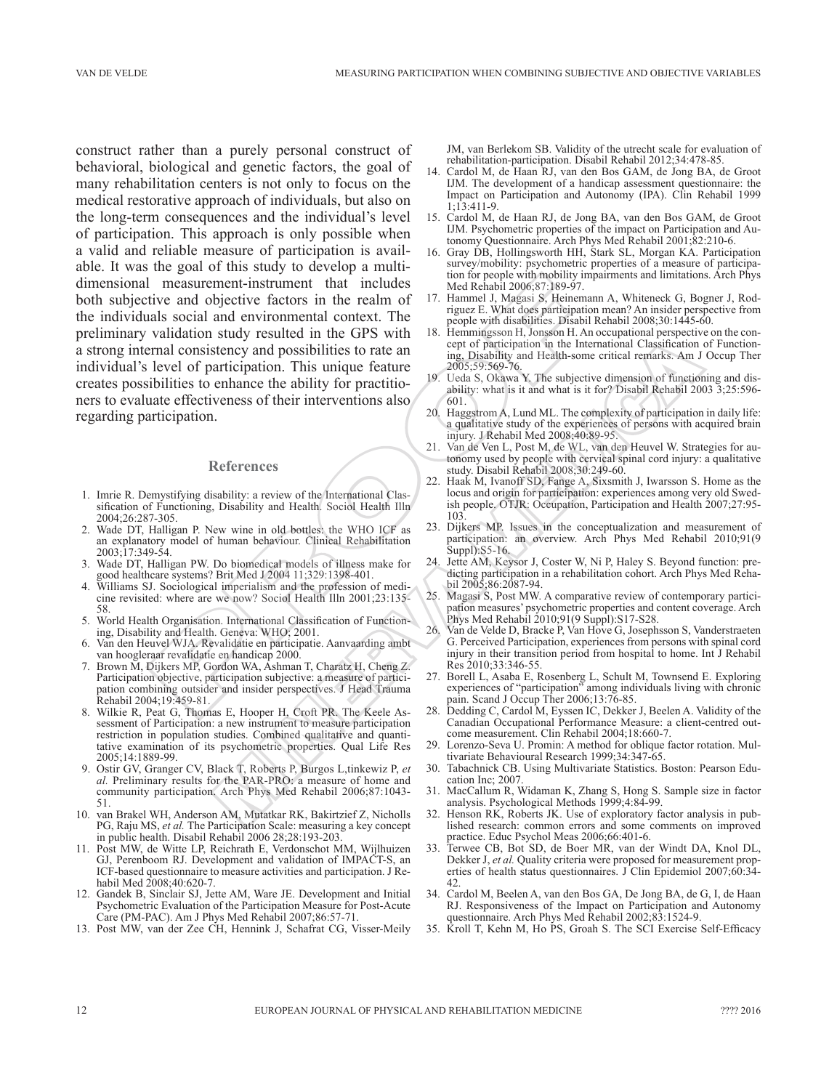construct rather than a purely personal construct of behavioral, biological and genetic factors, the goal of many rehabilitation centers is not only to focus on the medical restorative approach of individuals, but also on the long-term consequences and the individual's level of participation. This approach is only possible when a valid and reliable measure of participation is available. It was the goal of this study to develop a multidimensional measurement-instrument that includes both subjective and objective factors in the realm of the individuals social and environmental context. The preliminary validation study resulted in the GPS with a strong internal consistency and possibilities to rate an individual's level of participation. This unique feature creates possibilities to enhance the ability for practitioners to evaluate effectiveness of their interventions also regarding participation. measurement-instrument that includes<br>
and objective factors in the realm of  $17$ - Hammel J, Magas is Riemann<br>
and solid and environmental context. The<br>
and solid and environmental context. The<br>
angles  $\frac{1}{2}$  Hammel J, Example the international Cassimilation in the International Cassimilation of the international Cassimilation of the International Cassimilation of the Back of Figure 1900,539.590-76<br>
The and the anti-state of the interna

#### **References**

- 1. Imrie R. Demystifying disability: a review of the International Classification of Functioning, Disability and Health. Sociol Health Illn 2004;26:287-305.
- 2. Wade DT, Halligan P. New wine in old bottles: the WHO ICF as an explanatory model of human behaviour. Clinical Rehabilitation 2003;17:349-54.
- 3. Wade DT, Halligan PW. Do biomedical models of illness make for good healthcare systems? Brit Med J 2004 11;329:1398-401.
- Williams SJ. Sociological imperialism and the profession of medicine revisited: where are we now? Sociol Health Illn 2001;23:135- 58.
- 5. World Health Organisation. International Classification of Functioning, Disability and Health. Geneva: WHO; 2001.
- 6. Van den Heuvel WJA. Revalidatie en participatie. Aanvaarding ambt van hoogleraar revalidatie en handicap 2000.
- 7. Brown M, Dijkers MP, Gordon WA, Ashman T, Charatz H, Cheng Z. Participation objective, participation subjective: a measure of participation combining outsider and insider perspectives. J Head Trauma Rehabil 2004;19:459-81.
- 8. Wilkie R, Peat G, Thomas E, Hooper H, Croft PR. The Keele Assessment of Participation: a new instrument to measure participation restriction in population studies. Combined qualitative and quantitative examination of its psychometric properties. Qual Life Res 2005;14:1889-99.
- 9. Ostir GV, Granger CV, Black T, Roberts P, Burgos L,tinkewiz P, *et al.* Preliminary results for the PAR-PRO: a measure of home and community participation. Arch Phys Med Rehabil 2006;87:1043- 51.
- 10. van Brakel WH, Anderson AM, Mutatkar RK, Bakirtzief Z, Nicholls PG, Raju MS, *et al.* The Participation Scale: measuring a key concept in public health. Disabil Rehabil 2006 28;28:193-203.
- 11. Post MW, de Witte LP, Reichrath E, Verdonschot MM, Wijlhuizen GJ, Perenboom RJ. Development and validation of IMPACT-S, an ICF-based questionnaire to measure activities and participation. J Rehabil Med 2008;40:620-7.
- 12. Gandek B, Sinclair SJ, Jette AM, Ware JE. Development and Initial Psychometric Evaluation of the Participation Measure for Post-Acute Care (PM-PAC). Am J Phys Med Rehabil 2007;86:57-71.
- 13. Post MW, van der Zee CH, Hennink J, Schafrat CG, Visser-Meily

JM, van Berlekom SB. Validity of the utrecht scale for evaluation of rehabilitation-participation. Disabil Rehabil 2012;34:478-85.

- 14. Cardol M, de Haan RJ, van den Bos GAM, de Jong BA, de Groot IJM. The development of a handicap assessment questionnaire: the Impact on Participation and Autonomy (IPA). Clin Rehabil 1999 1;13:411-9.
- 15. Cardol M, de Haan RJ, de Jong BA, van den Bos GAM, de Groot IJM. Psychometric properties of the impact on Participation and Autonomy Questionnaire. Arch Phys Med Rehabil 2001;82:210-6.
- 16. Gray DB, Hollingsworth HH, Stark SL, Morgan KA. Participation survey/mobility: psychometric properties of a measure of participation for people with mobility impairments and limitations. Arch Phys Med Rehabil 2006;87:189-97.
- 17. Hammel J, Magasi S, Heinemann A, Whiteneck G, Bogner J, Rodriguez E. What does participation mean? An insider perspective from people with disabilities. Disabil Rehabil 2008;30:1445-60.
- 18. Hemmingsson H, Jonsson H. An occupational perspective on the concept of participation in the International Classification of Functioning, Disability and Health-some critical remarks. Am J Occup Ther 2005;59:569-76.
- 19. Ueda S, Okawa Y. The subjective dimension of functioning and disability: what is it and what is it for? Disabil Rehabil 2003 3;25:596- 601.
- 20. Haggstrom A, Lund ML. The complexity of participation in daily life: a qualitative study of the experiences of persons with acquired brain injury. J Rehabil Med 2008;40:89-95.
- 21. Van de Ven L, Post M, de WL, van den Heuvel W. Strategies for autonomy used by people with cervical spinal cord injury: a qualitative study. Disabil Rehabil 2008;30:249-60.
- 22. Haak M, Ivanoff SD, Fange A, Sixsmith J, Iwarsson S. Home as the locus and origin for participation: experiences among very old Swedish people. OTJR: Occupation, Participation and Health 2007;27:95- 103.
- 23. Dijkers MP. Issues in the conceptualization and measurement of participation: an overview. Arch Phys Med Rehabil 2010;91(9 Suppl):S5-16.
- 24. Jette AM, Keysor J, Coster W, Ni P, Haley S. Beyond function: predicting participation in a rehabilitation cohort. Arch Phys Med Rehabil 2005;86:2087-94.
- 25. Magasi S, Post MW. A comparative review of contemporary participation measures' psychometric properties and content coverage. Arch Phys Med Rehabil 2010;91(9 Suppl):S17-S28.
- 26. Van de Velde D, Bracke P, Van Hove G, Josephsson S, Vanderstraeten G. Perceived Participation, experiences from persons with spinal cord injury in their transition period from hospital to home. Int J Rehabil Res 2010;33:346-55.
- 27. Borell L, Asaba E, Rosenberg L, Schult M, Townsend E. Exploring experiences of "participation" among individuals living with chronic pain. Scand J Occup Ther 2006;13:76-85.
- 28. Dedding C, Cardol M, Eyssen IC, Dekker J, Beelen A. Validity of the Canadian Occupational Performance Measure: a client-centred outcome measurement. Clin Rehabil 2004;18:660-7.
- 29. Lorenzo-Seva U. Promin: A method for oblique factor rotation. Multivariate Behavioural Research 1999;34:347-65.
- 30. Tabachnick CB. Using Multivariate Statistics. Boston: Pearson Education Inc; 2007.
- 31. MacCallum R, Widaman K, Zhang S, Hong S. Sample size in factor analysis. Psychological Methods 1999;4:84-99.
- 32. Henson RK, Roberts JK. Use of exploratory factor analysis in published research: common errors and some comments on improved practice. Educ Psychol Meas 2006;66:401-6.
- 33. Terwee CB, Bot SD, de Boer MR, van der Windt DA, Knol DL, Dekker J, et al. Quality criteria were proposed for measurement properties of health status questionnaires. J Clin Epidemiol 2007;60:34- 42.
- 34. Cardol M, Beelen A, van den Bos GA, De Jong BA, de G, I, de Haan RJ. Responsiveness of the Impact on Participation and Autonomy questionnaire. Arch Phys Med Rehabil 2002;83:1524-9.
- 35. Kroll T, Kehn M, Ho PS, Groah S. The SCI Exercise Self-Efficacy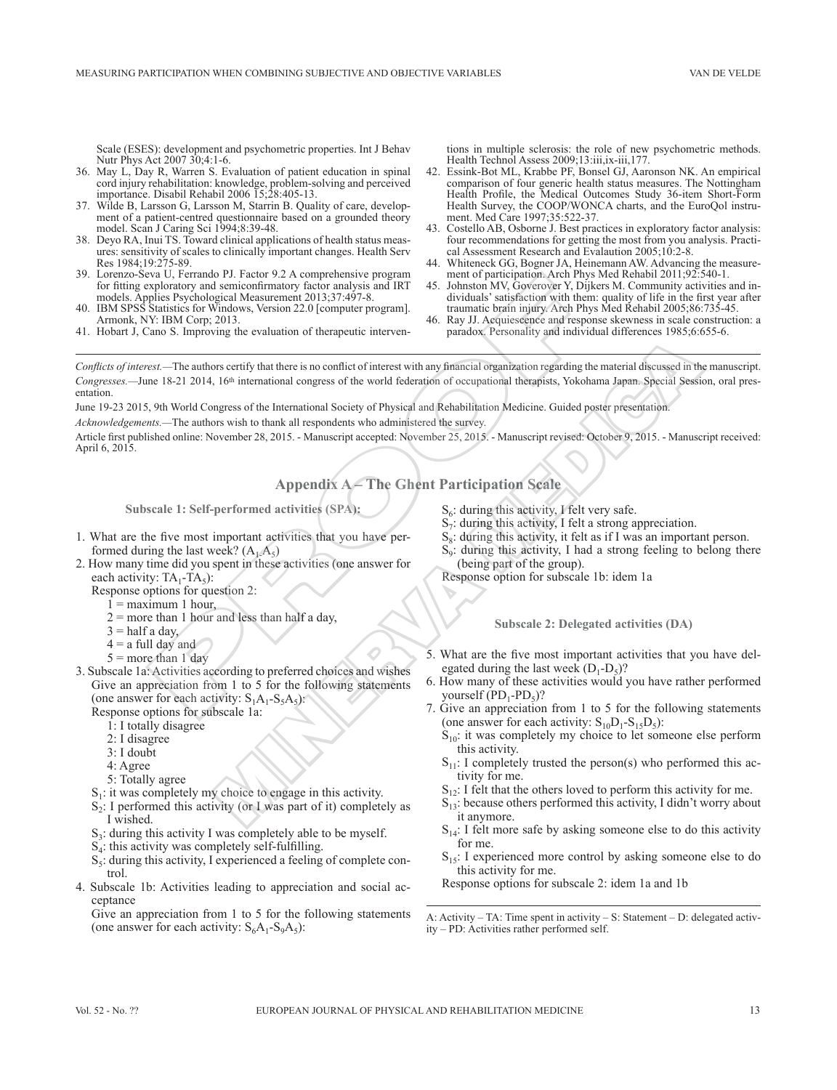Scale (ESES): development and psychometric properties. Int J Behav Nutr Phys Act 2007 30;4:1-6.

- 36. May L, Day R, Warren S. Evaluation of patient education in spinal cord injury rehabilitation: knowledge, problem-solving and perceived importance. Disabil Rehabil 2006 15;28:405-13.
- 37. Wilde B, Larsson G, Larsson M, Starrin B. Quality of care, development of a patient-centred questionnaire based on a grounded theory model. Scan J Caring Sci 1994;8:39-48.
- 38. Deyo RA, Inui TS. Toward clinical applications of health status measures: sensitivity of scales to clinically important changes. Health Serv Res 1984;19:275-89.
- 39. Lorenzo-Seva U, Ferrando PJ. Factor 9.2 A comprehensive program for fitting exploratory and semiconfirmatory factor analysis and IRT models. Applies Psychological Measurement 2013;37:497-8.
- IBM SPSS Statistics for Windows, Version 22.0 [computer program]. Armonk, NY: IBM Corp; 2013.
- 41. Hobart J, Cano S. Improving the evaluation of therapeutic interven-

tions in multiple sclerosis: the role of new psychometric methods. Health Technol Assess 2009;13:iii,ix-iii,177.

- 42. Essink-Bot ML, Krabbe PF, Bonsel GJ, Aaronson NK. An empirical comparison of four generic health status measures. The Nottingham Health Profile, the Medical Outcomes Study 36-item Short-Form Health Survey, the COOP/WONCA charts, and the EuroQol instrument. Med Care 1997;35:522-37.
- Costello AB, Osborne J. Best practices in exploratory factor analysis: four recommendations for getting the most from you analysis. Practical Assessment Research and Evalaution 2005;10:2-8.
- 44. Whiteneck GG, Bogner JA, Heinemann AW. Advancing the measurement of participation. Arch Phys Med Rehabil 2011;92:540-1.
- 45. Johnston MV, Goverover Y, Dijkers M. Community activities and individuals' satisfaction with them: quality of life in the first year after traumatic brain injury. Arch Phys Med Rehabil 2005;86:735-45.
- 46. Ray JJ. Acquiescence and response skewness in scale construction: a paradox. Personality and individual differences 1985;6:655-6.

*Conflicts of interest.*—The authors certify that there is no conflict of interest with any financial organization regarding the material discussed in the manuscript. Congresses.—June 18-21 2014, 16<sup>th</sup> international congress of the world federation of occupational therapists, Yokohama Japan. Special Session, oral presentation. An a control of the statemental of the statement of the statement of the statement of the statement of the plane of the statement of the statement of the statement of the statement of the statement of the statement of the In there is no conflict of interest with any financial organization regarding the material discussed in the same of the word federation of occupational the<br>applies, Yokohana Japan. Special Sessingness of the International

June 19-23 2015, 9th World Congress of the International Society of Physical and Rehabilitation Medicine. Guided poster presentation.

*Acknowledgements.—*The authors wish to thank all respondents who administered the survey.

Article first published online: November 28, 2015. - Manuscript accepted: November 25, 2015. - Manuscript revised: October 9, 2015. - Manuscript received: April 6, 2015.

**Appendix A – The Ghent Participation Scale**

**Subscale 1: Self-performed activities (SPA):**

- 1. What are the five most important activities that you have performed during the last week?  $(A_1, A_5)$
- 2. How many time did you spent in these activities (one answer for each activity:  $TA_1$ - $TA_5$ ):
	- Response options for question 2:
		- $1 =$  maximum 1 hour,
		- $2 =$  more than 1 hour and less than half a day,
		- $3 =$ half a day,
		- $4 = a$  full day and
		- $5 =$  more than 1 day
- 3. Subscale 1a: Activities according to preferred choices and wishes Give an appreciation from 1 to 5 for the following statements (one answer for each activity:  $S_1A_1-S_5A_5$ ):

Response options for subscale 1a:

- 1: I totally disagree
- 2: I disagree
- 3: I doubt
- 4: Agree
- 5: Totally agree
- $S<sub>1</sub>$ : it was completely my choice to engage in this activity.
- $S<sub>2</sub>$ : I performed this activity (or I was part of it) completely as I wished.
- $S_3$ : during this activity I was completely able to be myself.
- $S<sub>4</sub>$ : this activity was completely self-fulfilling.
- $S_5$ : during this activity, I experienced a feeling of complete control.
- 4. Subscale 1b: Activities leading to appreciation and social acceptance

Give an appreciation from 1 to 5 for the following statements (one answer for each activity:  $S_6A_1-S_9A_5$ ):

- $S_6$ : during this activity, I felt very safe.
- $S_7$ : during this activity, I felt a strong appreciation.
- $S_8$ : during this activity, it felt as if I was an important person.
- $S<sub>9</sub>$ : during this activity, I had a strong feeling to belong there (being part of the group).
- Response option for subscale 1b: idem 1a

**Subscale 2: Delegated activities (DA)**

- 5. What are the five most important activities that you have delegated during the last week  $(D_1-D_5)$ ?
- 6. How many of these activities would you have rather performed yourself  $(PD_1-PD_5)$ ?
- 7. Give an appreciation from 1 to 5 for the following statements (one answer for each activity:  $S_{10}D_1-S_{15}D_5$ ):
	- $S_{10}$ : it was completely my choice to let someone else perform this activity.
	- $S_{11}$ : I completely trusted the person(s) who performed this activity for me.
	- $S_{12}$ : I felt that the others loved to perform this activity for me.
	- $S_{13}$ : because others performed this activity, I didn't worry about it anymore.
	- $S<sub>14</sub>$ : I felt more safe by asking someone else to do this activity for me.
	- $S_{15}$ : I experienced more control by asking someone else to do this activity for me.
	- Response options for subscale 2: idem 1a and 1b

A: Activity – TA: Time spent in activity – S: Statement – D: delegated activity – PD: Activities rather performed self.